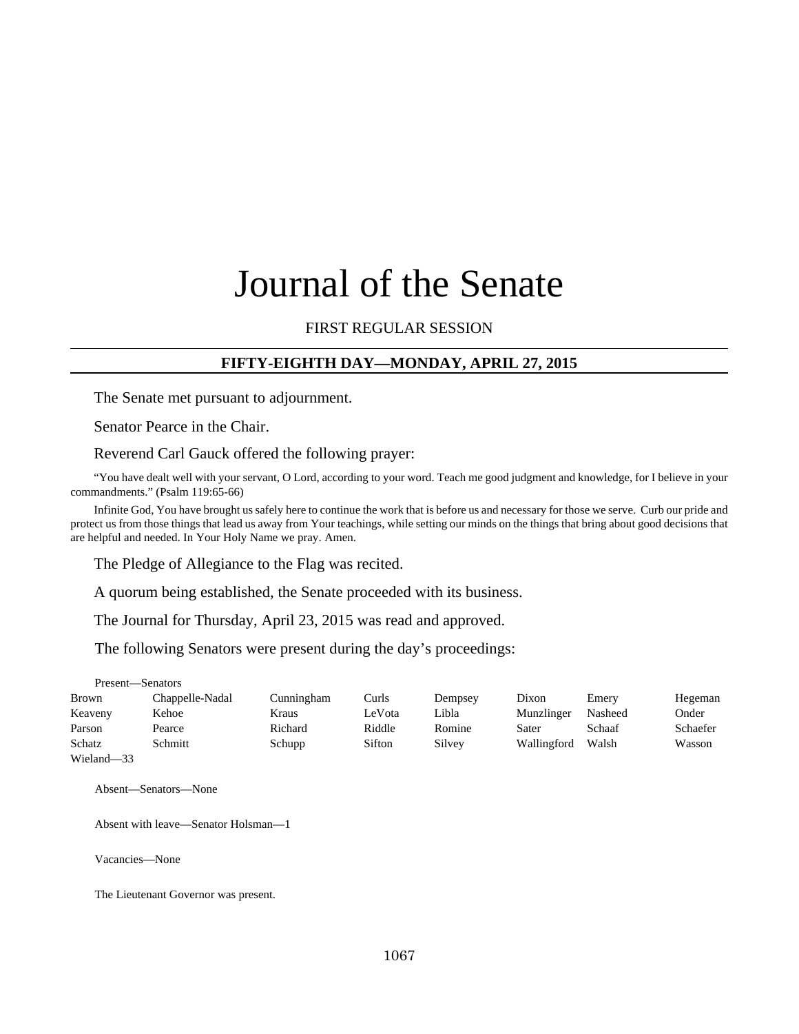# Journal of the Senate

## FIRST REGULAR SESSION

## **FIFTY-EIGHTH DAY—MONDAY, APRIL 27, 2015**

The Senate met pursuant to adjournment.

Senator Pearce in the Chair.

Reverend Carl Gauck offered the following prayer:

"You have dealt well with your servant, O Lord, according to your word. Teach me good judgment and knowledge, for I believe in your commandments." (Psalm 119:65-66)

Infinite God, You have brought us safely here to continue the work that is before us and necessary for those we serve. Curb our pride and protect us from those things that lead us away from Your teachings, while setting our minds on the things that bring about good decisions that are helpful and needed. In Your Holy Name we pray. Amen.

The Pledge of Allegiance to the Flag was recited.

A quorum being established, the Senate proceeded with its business.

The Journal for Thursday, April 23, 2015 was read and approved.

The following Senators were present during the day's proceedings:

Present—Senators Brown Chappelle-Nadal Cunningham Curls Dempsey Dixon Emery Hegeman Keaveny Kehoe Kraus LeVota Libla Munzlinger Nasheed Onder Parson Pearce **Richard** Riddle Romine Sater Schaaf Schaefer Schatz Schmitt Schupp Sifton Silvey Wallingford Walsh Wasson Wieland—33

Absent—Senators—None

Absent with leave—Senator Holsman—1

Vacancies—None

The Lieutenant Governor was present.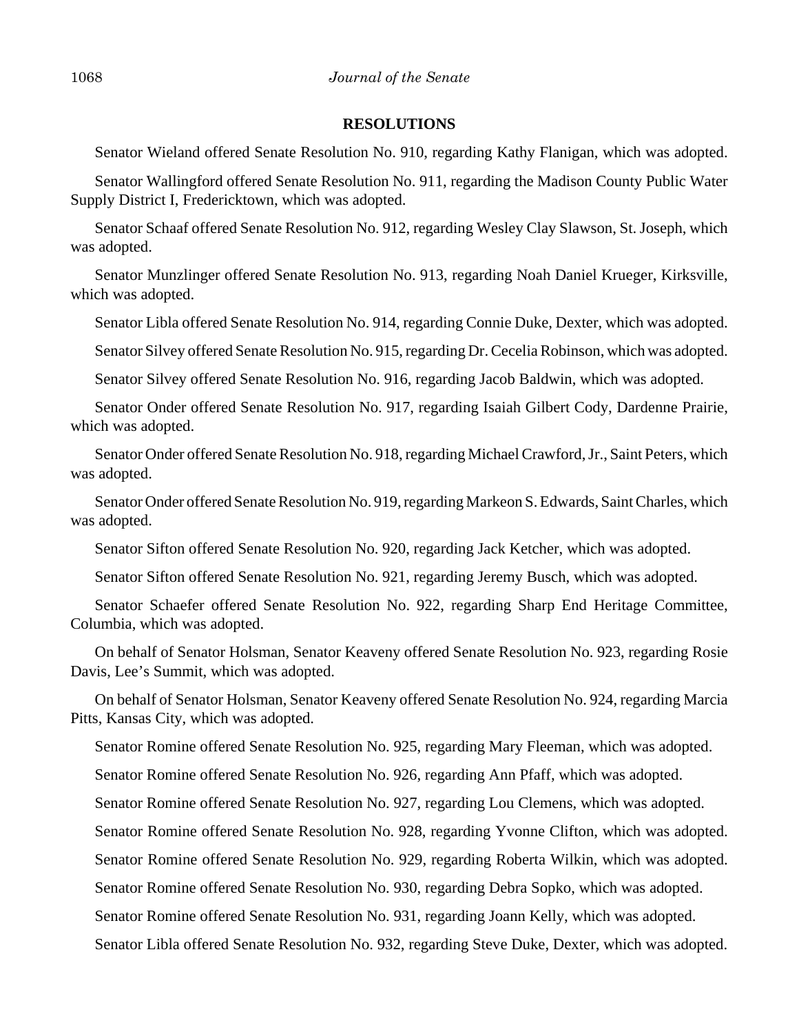#### **RESOLUTIONS**

Senator Wieland offered Senate Resolution No. 910, regarding Kathy Flanigan, which was adopted.

Senator Wallingford offered Senate Resolution No. 911, regarding the Madison County Public Water Supply District I, Fredericktown, which was adopted.

Senator Schaaf offered Senate Resolution No. 912, regarding Wesley Clay Slawson, St. Joseph, which was adopted.

Senator Munzlinger offered Senate Resolution No. 913, regarding Noah Daniel Krueger, Kirksville, which was adopted.

Senator Libla offered Senate Resolution No. 914, regarding Connie Duke, Dexter, which was adopted.

Senator Silvey offered Senate Resolution No. 915, regarding Dr. Cecelia Robinson, which was adopted.

Senator Silvey offered Senate Resolution No. 916, regarding Jacob Baldwin, which was adopted.

Senator Onder offered Senate Resolution No. 917, regarding Isaiah Gilbert Cody, Dardenne Prairie, which was adopted.

Senator Onder offered Senate Resolution No. 918, regarding Michael Crawford, Jr., Saint Peters, which was adopted.

Senator Onder offered Senate Resolution No. 919, regarding Markeon S. Edwards, Saint Charles, which was adopted.

Senator Sifton offered Senate Resolution No. 920, regarding Jack Ketcher, which was adopted.

Senator Sifton offered Senate Resolution No. 921, regarding Jeremy Busch, which was adopted.

Senator Schaefer offered Senate Resolution No. 922, regarding Sharp End Heritage Committee, Columbia, which was adopted.

On behalf of Senator Holsman, Senator Keaveny offered Senate Resolution No. 923, regarding Rosie Davis, Lee's Summit, which was adopted.

On behalf of Senator Holsman, Senator Keaveny offered Senate Resolution No. 924, regarding Marcia Pitts, Kansas City, which was adopted.

Senator Romine offered Senate Resolution No. 925, regarding Mary Fleeman, which was adopted.

Senator Romine offered Senate Resolution No. 926, regarding Ann Pfaff, which was adopted.

Senator Romine offered Senate Resolution No. 927, regarding Lou Clemens, which was adopted.

Senator Romine offered Senate Resolution No. 928, regarding Yvonne Clifton, which was adopted.

Senator Romine offered Senate Resolution No. 929, regarding Roberta Wilkin, which was adopted.

Senator Romine offered Senate Resolution No. 930, regarding Debra Sopko, which was adopted.

Senator Romine offered Senate Resolution No. 931, regarding Joann Kelly, which was adopted.

Senator Libla offered Senate Resolution No. 932, regarding Steve Duke, Dexter, which was adopted.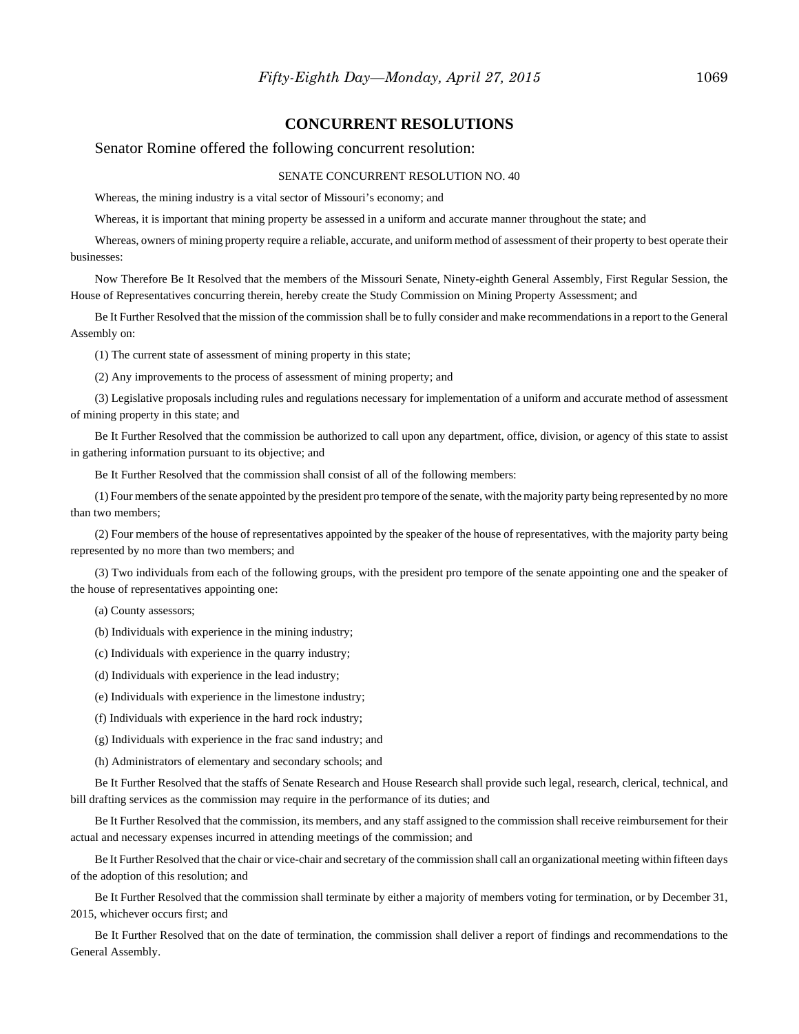#### **CONCURRENT RESOLUTIONS**

#### Senator Romine offered the following concurrent resolution:

#### SENATE CONCURRENT RESOLUTION NO. 40

Whereas, the mining industry is a vital sector of Missouri's economy; and

Whereas, it is important that mining property be assessed in a uniform and accurate manner throughout the state; and

Whereas, owners of mining property require a reliable, accurate, and uniform method of assessment of their property to best operate their businesses:

Now Therefore Be It Resolved that the members of the Missouri Senate, Ninety-eighth General Assembly, First Regular Session, the House of Representatives concurring therein, hereby create the Study Commission on Mining Property Assessment; and

Be It Further Resolved that the mission of the commission shall be to fully consider and make recommendations in a report to the General Assembly on:

(1) The current state of assessment of mining property in this state;

(2) Any improvements to the process of assessment of mining property; and

(3) Legislative proposals including rules and regulations necessary for implementation of a uniform and accurate method of assessment of mining property in this state; and

Be It Further Resolved that the commission be authorized to call upon any department, office, division, or agency of this state to assist in gathering information pursuant to its objective; and

Be It Further Resolved that the commission shall consist of all of the following members:

(1) Four members of the senate appointed by the president pro tempore of the senate, with the majority party being represented by no more than two members;

(2) Four members of the house of representatives appointed by the speaker of the house of representatives, with the majority party being represented by no more than two members; and

(3) Two individuals from each of the following groups, with the president pro tempore of the senate appointing one and the speaker of the house of representatives appointing one:

(a) County assessors;

(b) Individuals with experience in the mining industry;

(c) Individuals with experience in the quarry industry;

(d) Individuals with experience in the lead industry;

(e) Individuals with experience in the limestone industry;

(f) Individuals with experience in the hard rock industry;

(g) Individuals with experience in the frac sand industry; and

(h) Administrators of elementary and secondary schools; and

Be It Further Resolved that the staffs of Senate Research and House Research shall provide such legal, research, clerical, technical, and bill drafting services as the commission may require in the performance of its duties; and

Be It Further Resolved that the commission, its members, and any staff assigned to the commission shall receive reimbursement for their actual and necessary expenses incurred in attending meetings of the commission; and

Be It Further Resolved that the chair or vice-chair and secretary of the commission shall call an organizational meeting within fifteen days of the adoption of this resolution; and

Be It Further Resolved that the commission shall terminate by either a majority of members voting for termination, or by December 31, 2015, whichever occurs first; and

Be It Further Resolved that on the date of termination, the commission shall deliver a report of findings and recommendations to the General Assembly.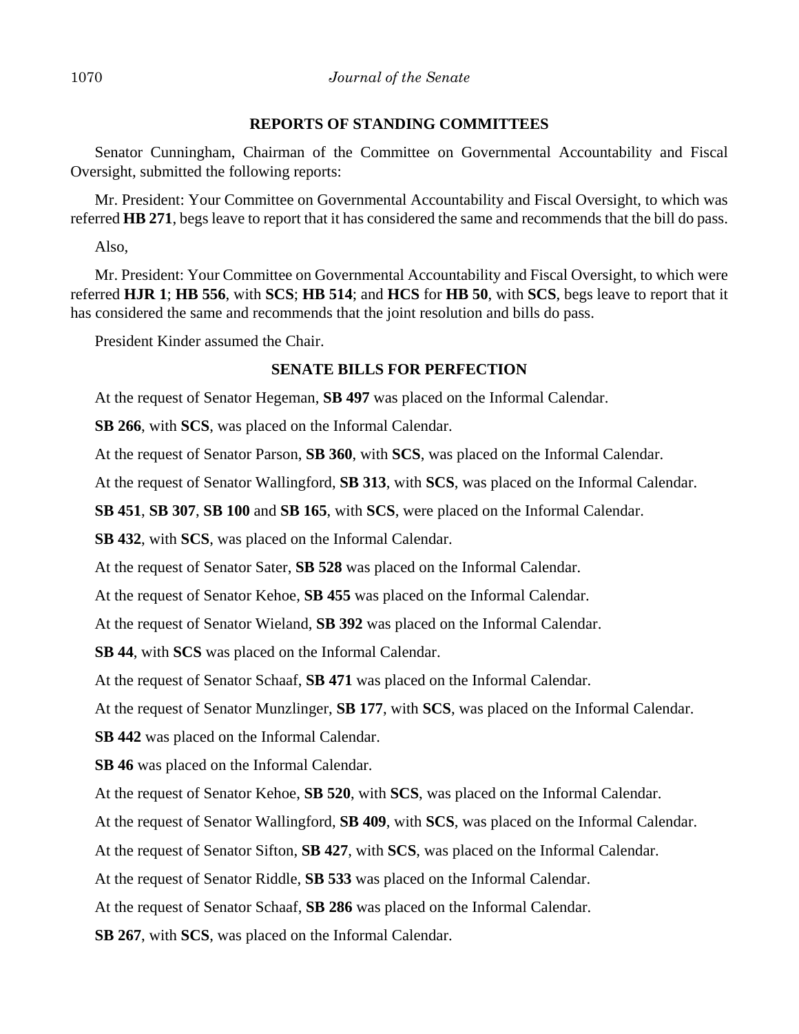#### **REPORTS OF STANDING COMMITTEES**

Senator Cunningham, Chairman of the Committee on Governmental Accountability and Fiscal Oversight, submitted the following reports:

Mr. President: Your Committee on Governmental Accountability and Fiscal Oversight, to which was referred **HB 271**, begs leave to report that it has considered the same and recommends that the bill do pass.

Also,

Mr. President: Your Committee on Governmental Accountability and Fiscal Oversight, to which were referred **HJR 1**; **HB 556**, with **SCS**; **HB 514**; and **HCS** for **HB 50**, with **SCS**, begs leave to report that it has considered the same and recommends that the joint resolution and bills do pass.

President Kinder assumed the Chair.

## **SENATE BILLS FOR PERFECTION**

At the request of Senator Hegeman, **SB 497** was placed on the Informal Calendar.

**SB 266**, with **SCS**, was placed on the Informal Calendar.

At the request of Senator Parson, **SB 360**, with **SCS**, was placed on the Informal Calendar.

At the request of Senator Wallingford, **SB 313**, with **SCS**, was placed on the Informal Calendar.

**SB 451**, **SB 307**, **SB 100** and **SB 165**, with **SCS**, were placed on the Informal Calendar.

**SB 432**, with **SCS**, was placed on the Informal Calendar.

At the request of Senator Sater, **SB 528** was placed on the Informal Calendar.

At the request of Senator Kehoe, **SB 455** was placed on the Informal Calendar.

At the request of Senator Wieland, **SB 392** was placed on the Informal Calendar.

**SB 44**, with **SCS** was placed on the Informal Calendar.

At the request of Senator Schaaf, **SB 471** was placed on the Informal Calendar.

At the request of Senator Munzlinger, **SB 177**, with **SCS**, was placed on the Informal Calendar.

**SB 442** was placed on the Informal Calendar.

**SB 46** was placed on the Informal Calendar.

At the request of Senator Kehoe, **SB 520**, with **SCS**, was placed on the Informal Calendar.

At the request of Senator Wallingford, **SB 409**, with **SCS**, was placed on the Informal Calendar.

At the request of Senator Sifton, **SB 427**, with **SCS**, was placed on the Informal Calendar.

At the request of Senator Riddle, **SB 533** was placed on the Informal Calendar.

At the request of Senator Schaaf, **SB 286** was placed on the Informal Calendar.

**SB 267**, with **SCS**, was placed on the Informal Calendar.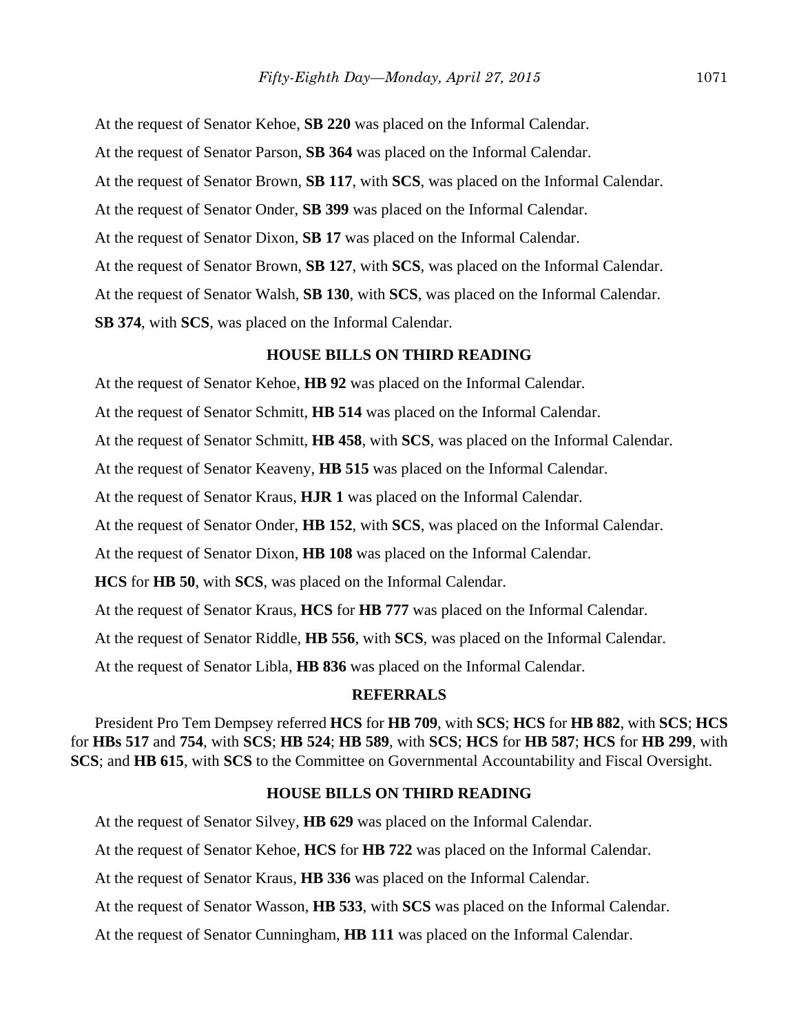At the request of Senator Kehoe, **SB 220** was placed on the Informal Calendar. At the request of Senator Parson, **SB 364** was placed on the Informal Calendar. At the request of Senator Brown, **SB 117**, with **SCS**, was placed on the Informal Calendar. At the request of Senator Onder, **SB 399** was placed on the Informal Calendar. At the request of Senator Dixon, **SB 17** was placed on the Informal Calendar. At the request of Senator Brown, **SB 127**, with **SCS**, was placed on the Informal Calendar. At the request of Senator Walsh, **SB 130**, with **SCS**, was placed on the Informal Calendar. **SB 374**, with **SCS**, was placed on the Informal Calendar.

#### **HOUSE BILLS ON THIRD READING**

At the request of Senator Kehoe, **HB 92** was placed on the Informal Calendar.

At the request of Senator Schmitt, **HB 514** was placed on the Informal Calendar.

At the request of Senator Schmitt, **HB 458**, with **SCS**, was placed on the Informal Calendar.

At the request of Senator Keaveny, **HB 515** was placed on the Informal Calendar.

At the request of Senator Kraus, **HJR 1** was placed on the Informal Calendar.

At the request of Senator Onder, **HB 152**, with **SCS**, was placed on the Informal Calendar.

At the request of Senator Dixon, **HB 108** was placed on the Informal Calendar.

**HCS** for **HB 50**, with **SCS**, was placed on the Informal Calendar.

At the request of Senator Kraus, **HCS** for **HB 777** was placed on the Informal Calendar.

At the request of Senator Riddle, **HB 556**, with **SCS**, was placed on the Informal Calendar.

At the request of Senator Libla, **HB 836** was placed on the Informal Calendar.

#### **REFERRALS**

President Pro Tem Dempsey referred **HCS** for **HB 709**, with **SCS**; **HCS** for **HB 882**, with **SCS**; **HCS** for **HBs 517** and **754**, with **SCS**; **HB 524**; **HB 589**, with **SCS**; **HCS** for **HB 587**; **HCS** for **HB 299**, with **SCS**; and **HB 615**, with **SCS** to the Committee on Governmental Accountability and Fiscal Oversight.

#### **HOUSE BILLS ON THIRD READING**

At the request of Senator Silvey, **HB 629** was placed on the Informal Calendar.

At the request of Senator Kehoe, **HCS** for **HB 722** was placed on the Informal Calendar.

At the request of Senator Kraus, **HB 336** was placed on the Informal Calendar.

At the request of Senator Wasson, **HB 533**, with **SCS** was placed on the Informal Calendar.

At the request of Senator Cunningham, **HB 111** was placed on the Informal Calendar.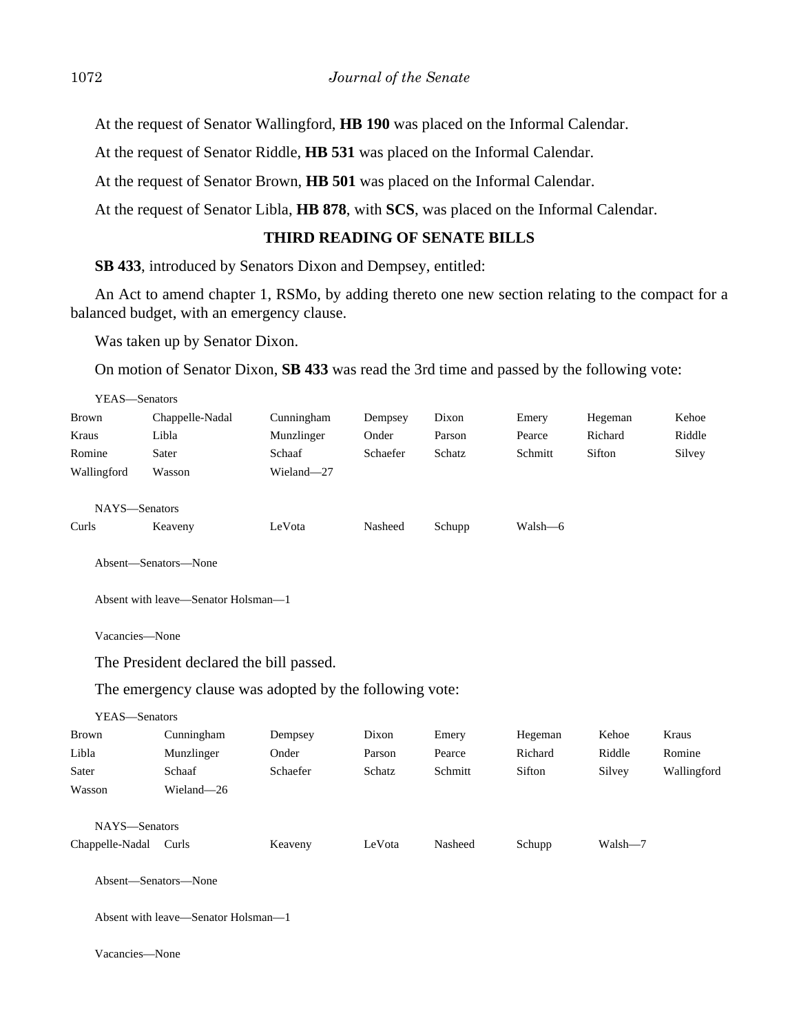At the request of Senator Wallingford, **HB 190** was placed on the Informal Calendar.

At the request of Senator Riddle, **HB 531** was placed on the Informal Calendar.

At the request of Senator Brown, **HB 501** was placed on the Informal Calendar.

At the request of Senator Libla, **HB 878**, with **SCS**, was placed on the Informal Calendar.

## **THIRD READING OF SENATE BILLS**

**SB 433**, introduced by Senators Dixon and Dempsey, entitled:

An Act to amend chapter 1, RSMo, by adding thereto one new section relating to the compact for a balanced budget, with an emergency clause.

Was taken up by Senator Dixon.

On motion of Senator Dixon, **SB 433** was read the 3rd time and passed by the following vote:

| YEAS—Senators |                 |            |          |        |         |         |        |
|---------------|-----------------|------------|----------|--------|---------|---------|--------|
| Brown         | Chappelle-Nadal | Cunningham | Dempsey  | Dixon  | Emery   | Hegeman | Kehoe  |
| Kraus         | Libla           | Munzlinger | Onder    | Parson | Pearce  | Richard | Riddle |
| Romine        | Sater           | Schaaf     | Schaefer | Schatz | Schmitt | Sifton  | Silvey |
| Wallingford   | Wasson          | Wieland-27 |          |        |         |         |        |
| NAYS-Senators |                 |            |          |        |         |         |        |
| Curls         | Keaveny         | LeVota     | Nasheed  | Schupp | Walsh—6 |         |        |
|               |                 |            |          |        |         |         |        |

Absent—Senators—None

Absent with leave—Senator Holsman—1

Vacancies—None

The President declared the bill passed.

The emergency clause was adopted by the following vote:

| YEAS—Senators        |            |          |        |         |         |         |             |
|----------------------|------------|----------|--------|---------|---------|---------|-------------|
| <b>Brown</b>         | Cunningham | Dempsey  | Dixon  | Emery   | Hegeman | Kehoe   | Kraus       |
| Libla                | Munzlinger | Onder    | Parson | Pearce  | Richard | Riddle  | Romine      |
| Sater                | Schaaf     | Schaefer | Schatz | Schmitt | Sifton  | Silvey  | Wallingford |
| Wasson               | Wieland-26 |          |        |         |         |         |             |
| NAYS-Senators        |            |          |        |         |         |         |             |
| Chappelle-Nadal      | Curls      | Keaveny  | LeVota | Nasheed | Schupp  | Walsh-7 |             |
| Absent—Senators—None |            |          |        |         |         |         |             |

Absent with leave—Senator Holsman—1

Vacancies—None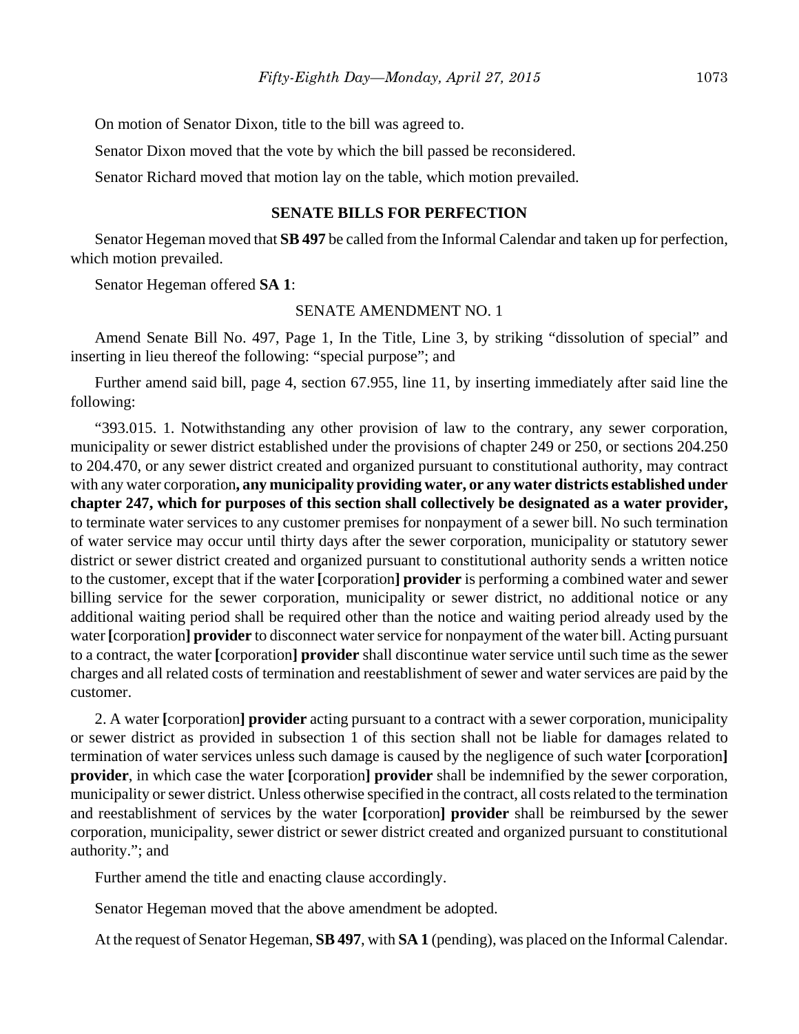On motion of Senator Dixon, title to the bill was agreed to.

Senator Dixon moved that the vote by which the bill passed be reconsidered.

Senator Richard moved that motion lay on the table, which motion prevailed.

## **SENATE BILLS FOR PERFECTION**

Senator Hegeman moved that **SB 497** be called from the Informal Calendar and taken up for perfection, which motion prevailed.

Senator Hegeman offered **SA 1**:

#### SENATE AMENDMENT NO. 1

Amend Senate Bill No. 497, Page 1, In the Title, Line 3, by striking "dissolution of special" and inserting in lieu thereof the following: "special purpose"; and

Further amend said bill, page 4, section 67.955, line 11, by inserting immediately after said line the following:

"393.015. 1. Notwithstanding any other provision of law to the contrary, any sewer corporation, municipality or sewer district established under the provisions of chapter 249 or 250, or sections 204.250 to 204.470, or any sewer district created and organized pursuant to constitutional authority, may contract with any water corporation**, any municipality providing water, or any water districts established under chapter 247, which for purposes of this section shall collectively be designated as a water provider,** to terminate water services to any customer premises for nonpayment of a sewer bill. No such termination of water service may occur until thirty days after the sewer corporation, municipality or statutory sewer district or sewer district created and organized pursuant to constitutional authority sends a written notice to the customer, except that if the water **[**corporation**] provider** is performing a combined water and sewer billing service for the sewer corporation, municipality or sewer district, no additional notice or any additional waiting period shall be required other than the notice and waiting period already used by the water **[**corporation**] provider** to disconnect water service for nonpayment of the water bill. Acting pursuant to a contract, the water **[**corporation**] provider** shall discontinue water service until such time as the sewer charges and all related costs of termination and reestablishment of sewer and water services are paid by the customer.

2. A water **[**corporation**] provider** acting pursuant to a contract with a sewer corporation, municipality or sewer district as provided in subsection 1 of this section shall not be liable for damages related to termination of water services unless such damage is caused by the negligence of such water **[**corporation**] provider**, in which case the water **[**corporation**] provider** shall be indemnified by the sewer corporation, municipality or sewer district. Unless otherwise specified in the contract, all costs related to the termination and reestablishment of services by the water **[**corporation**] provider** shall be reimbursed by the sewer corporation, municipality, sewer district or sewer district created and organized pursuant to constitutional authority."; and

Further amend the title and enacting clause accordingly.

Senator Hegeman moved that the above amendment be adopted.

At the request of Senator Hegeman, **SB 497**, with **SA 1** (pending), was placed on the Informal Calendar.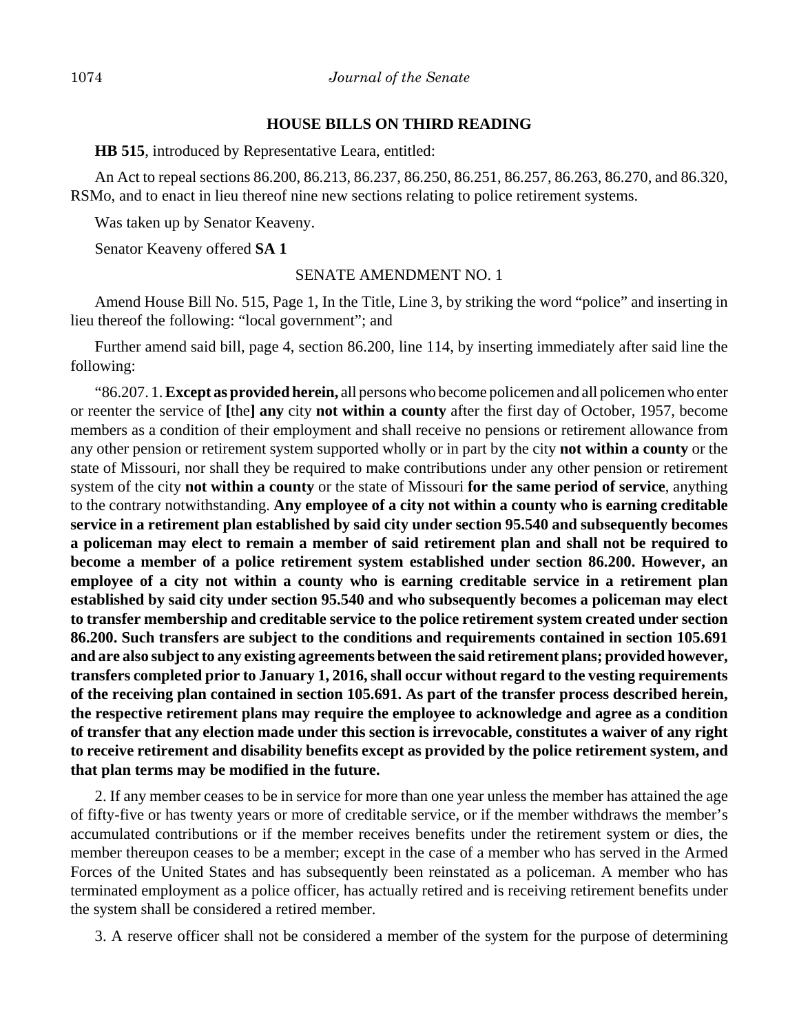#### **HOUSE BILLS ON THIRD READING**

**HB 515**, introduced by Representative Leara, entitled:

An Act to repeal sections 86.200, 86.213, 86.237, 86.250, 86.251, 86.257, 86.263, 86.270, and 86.320, RSMo, and to enact in lieu thereof nine new sections relating to police retirement systems.

Was taken up by Senator Keaveny.

Senator Keaveny offered **SA 1**

#### SENATE AMENDMENT NO. 1

Amend House Bill No. 515, Page 1, In the Title, Line 3, by striking the word "police" and inserting in lieu thereof the following: "local government"; and

Further amend said bill, page 4, section 86.200, line 114, by inserting immediately after said line the following:

"86.207. 1. **Except as provided herein,** all persons who become policemen and all policemen who enter or reenter the service of **[**the**] any** city **not within a county** after the first day of October, 1957, become members as a condition of their employment and shall receive no pensions or retirement allowance from any other pension or retirement system supported wholly or in part by the city **not within a county** or the state of Missouri, nor shall they be required to make contributions under any other pension or retirement system of the city **not within a county** or the state of Missouri **for the same period of service**, anything to the contrary notwithstanding. **Any employee of a city not within a county who is earning creditable service in a retirement plan established by said city under section 95.540 and subsequently becomes a policeman may elect to remain a member of said retirement plan and shall not be required to become a member of a police retirement system established under section 86.200. However, an employee of a city not within a county who is earning creditable service in a retirement plan established by said city under section 95.540 and who subsequently becomes a policeman may elect to transfer membership and creditable service to the police retirement system created under section 86.200. Such transfers are subject to the conditions and requirements contained in section 105.691 and are also subject to any existing agreements between the said retirement plans; provided however, transfers completed prior to January 1, 2016, shall occur without regard to the vesting requirements of the receiving plan contained in section 105.691. As part of the transfer process described herein, the respective retirement plans may require the employee to acknowledge and agree as a condition of transfer that any election made under this section is irrevocable, constitutes a waiver of any right to receive retirement and disability benefits except as provided by the police retirement system, and that plan terms may be modified in the future.**

2. If any member ceases to be in service for more than one year unless the member has attained the age of fifty-five or has twenty years or more of creditable service, or if the member withdraws the member's accumulated contributions or if the member receives benefits under the retirement system or dies, the member thereupon ceases to be a member; except in the case of a member who has served in the Armed Forces of the United States and has subsequently been reinstated as a policeman. A member who has terminated employment as a police officer, has actually retired and is receiving retirement benefits under the system shall be considered a retired member.

3. A reserve officer shall not be considered a member of the system for the purpose of determining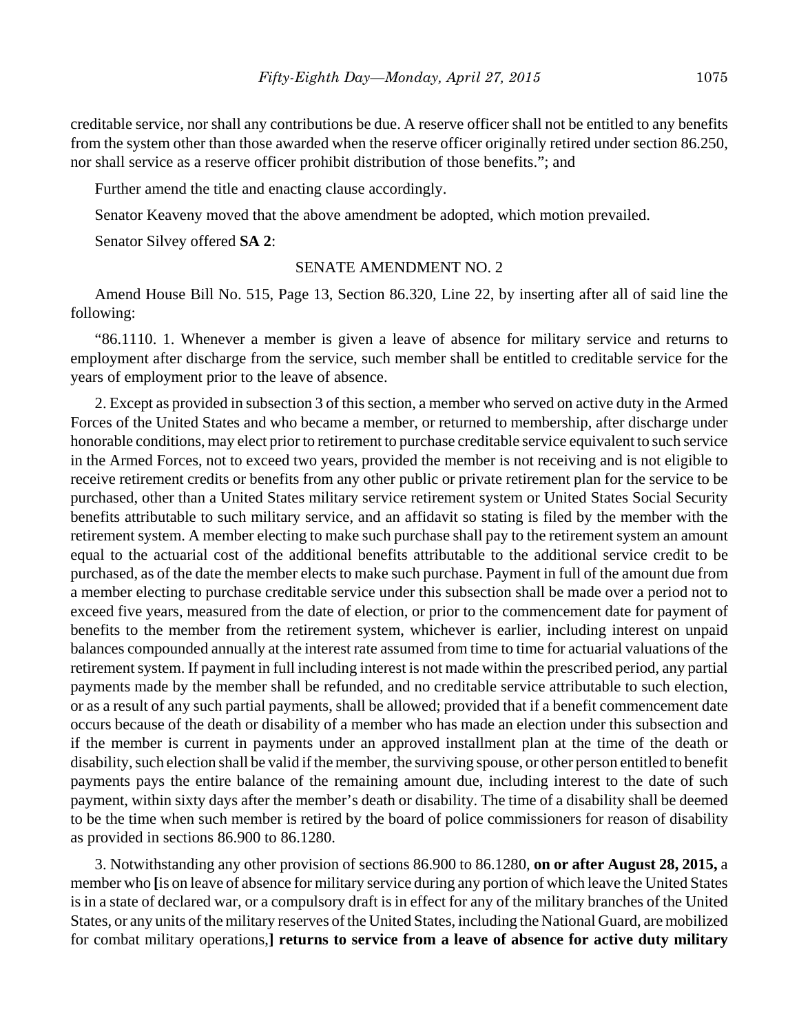creditable service, nor shall any contributions be due. A reserve officer shall not be entitled to any benefits from the system other than those awarded when the reserve officer originally retired under section 86.250, nor shall service as a reserve officer prohibit distribution of those benefits."; and

Further amend the title and enacting clause accordingly.

Senator Keaveny moved that the above amendment be adopted, which motion prevailed.

Senator Silvey offered **SA 2**:

#### SENATE AMENDMENT NO. 2

Amend House Bill No. 515, Page 13, Section 86.320, Line 22, by inserting after all of said line the following:

"86.1110. 1. Whenever a member is given a leave of absence for military service and returns to employment after discharge from the service, such member shall be entitled to creditable service for the years of employment prior to the leave of absence.

2. Except as provided in subsection 3 of this section, a member who served on active duty in the Armed Forces of the United States and who became a member, or returned to membership, after discharge under honorable conditions, may elect prior to retirement to purchase creditable service equivalent to such service in the Armed Forces, not to exceed two years, provided the member is not receiving and is not eligible to receive retirement credits or benefits from any other public or private retirement plan for the service to be purchased, other than a United States military service retirement system or United States Social Security benefits attributable to such military service, and an affidavit so stating is filed by the member with the retirement system. A member electing to make such purchase shall pay to the retirement system an amount equal to the actuarial cost of the additional benefits attributable to the additional service credit to be purchased, as of the date the member elects to make such purchase. Payment in full of the amount due from a member electing to purchase creditable service under this subsection shall be made over a period not to exceed five years, measured from the date of election, or prior to the commencement date for payment of benefits to the member from the retirement system, whichever is earlier, including interest on unpaid balances compounded annually at the interest rate assumed from time to time for actuarial valuations of the retirement system. If payment in full including interest is not made within the prescribed period, any partial payments made by the member shall be refunded, and no creditable service attributable to such election, or as a result of any such partial payments, shall be allowed; provided that if a benefit commencement date occurs because of the death or disability of a member who has made an election under this subsection and if the member is current in payments under an approved installment plan at the time of the death or disability, such election shall be valid if the member, the surviving spouse, or other person entitled to benefit payments pays the entire balance of the remaining amount due, including interest to the date of such payment, within sixty days after the member's death or disability. The time of a disability shall be deemed to be the time when such member is retired by the board of police commissioners for reason of disability as provided in sections 86.900 to 86.1280.

3. Notwithstanding any other provision of sections 86.900 to 86.1280, **on or after August 28, 2015,** a member who **[**is on leave of absence for military service during any portion of which leave the United States is in a state of declared war, or a compulsory draft is in effect for any of the military branches of the United States, or any units of the military reserves of the United States, including the National Guard, are mobilized for combat military operations,**] returns to service from a leave of absence for active duty military**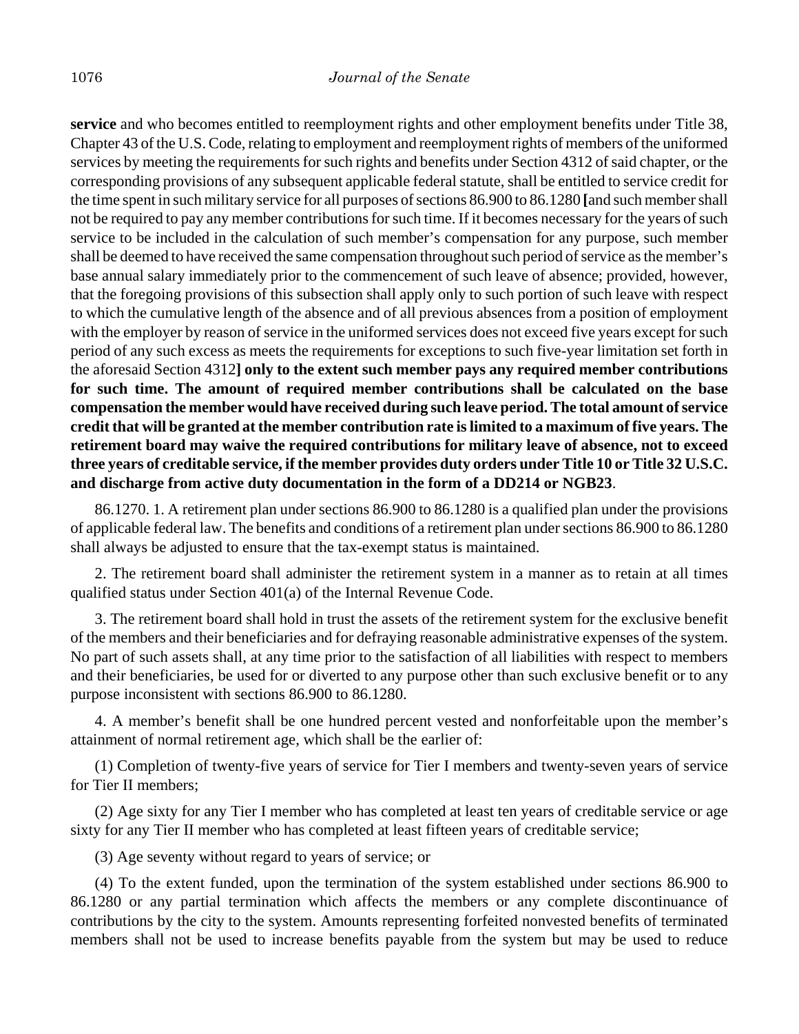**service** and who becomes entitled to reemployment rights and other employment benefits under Title 38, Chapter 43 of the U.S. Code, relating to employment and reemployment rights of members of the uniformed services by meeting the requirements for such rights and benefits under Section 4312 of said chapter, or the corresponding provisions of any subsequent applicable federal statute, shall be entitled to service credit for the time spent in such military service for all purposes of sections 86.900 to 86.1280 **[**and such member shall not be required to pay any member contributions for such time. If it becomes necessary for the years of such service to be included in the calculation of such member's compensation for any purpose, such member shall be deemed to have received the same compensation throughout such period of service as the member's base annual salary immediately prior to the commencement of such leave of absence; provided, however, that the foregoing provisions of this subsection shall apply only to such portion of such leave with respect to which the cumulative length of the absence and of all previous absences from a position of employment with the employer by reason of service in the uniformed services does not exceed five years except for such period of any such excess as meets the requirements for exceptions to such five-year limitation set forth in the aforesaid Section 4312**] only to the extent such member pays any required member contributions for such time. The amount of required member contributions shall be calculated on the base compensation the member would have received during such leave period. The total amount of service credit that will be granted at the member contribution rate is limited to a maximum of five years. The retirement board may waive the required contributions for military leave of absence, not to exceed three years of creditable service, if the member provides duty orders under Title 10 or Title 32 U.S.C. and discharge from active duty documentation in the form of a DD214 or NGB23**.

86.1270. 1. A retirement plan under sections 86.900 to 86.1280 is a qualified plan under the provisions of applicable federal law. The benefits and conditions of a retirement plan under sections 86.900 to 86.1280 shall always be adjusted to ensure that the tax-exempt status is maintained.

2. The retirement board shall administer the retirement system in a manner as to retain at all times qualified status under Section 401(a) of the Internal Revenue Code.

3. The retirement board shall hold in trust the assets of the retirement system for the exclusive benefit of the members and their beneficiaries and for defraying reasonable administrative expenses of the system. No part of such assets shall, at any time prior to the satisfaction of all liabilities with respect to members and their beneficiaries, be used for or diverted to any purpose other than such exclusive benefit or to any purpose inconsistent with sections 86.900 to 86.1280.

4. A member's benefit shall be one hundred percent vested and nonforfeitable upon the member's attainment of normal retirement age, which shall be the earlier of:

(1) Completion of twenty-five years of service for Tier I members and twenty-seven years of service for Tier II members;

(2) Age sixty for any Tier I member who has completed at least ten years of creditable service or age sixty for any Tier II member who has completed at least fifteen years of creditable service;

(3) Age seventy without regard to years of service; or

(4) To the extent funded, upon the termination of the system established under sections 86.900 to 86.1280 or any partial termination which affects the members or any complete discontinuance of contributions by the city to the system. Amounts representing forfeited nonvested benefits of terminated members shall not be used to increase benefits payable from the system but may be used to reduce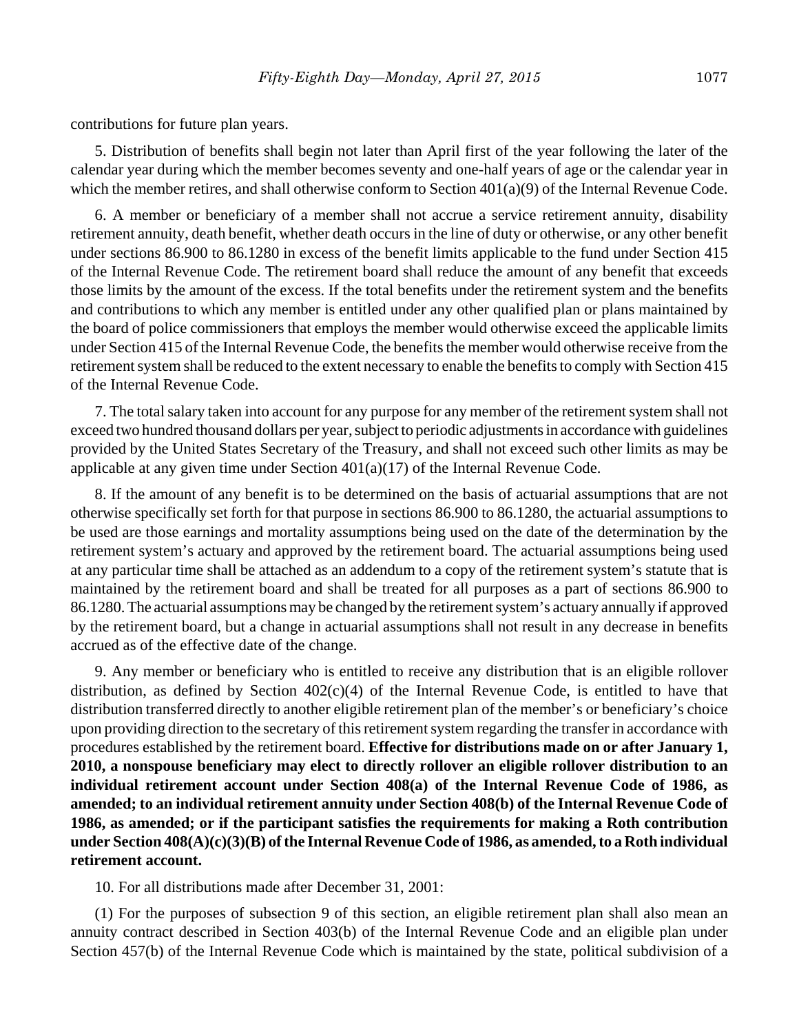contributions for future plan years.

5. Distribution of benefits shall begin not later than April first of the year following the later of the calendar year during which the member becomes seventy and one-half years of age or the calendar year in which the member retires, and shall otherwise conform to Section 401(a)(9) of the Internal Revenue Code.

6. A member or beneficiary of a member shall not accrue a service retirement annuity, disability retirement annuity, death benefit, whether death occurs in the line of duty or otherwise, or any other benefit under sections 86.900 to 86.1280 in excess of the benefit limits applicable to the fund under Section 415 of the Internal Revenue Code. The retirement board shall reduce the amount of any benefit that exceeds those limits by the amount of the excess. If the total benefits under the retirement system and the benefits and contributions to which any member is entitled under any other qualified plan or plans maintained by the board of police commissioners that employs the member would otherwise exceed the applicable limits under Section 415 of the Internal Revenue Code, the benefits the member would otherwise receive from the retirement system shall be reduced to the extent necessary to enable the benefits to comply with Section 415 of the Internal Revenue Code.

7. The total salary taken into account for any purpose for any member of the retirement system shall not exceed two hundred thousand dollars per year, subject to periodic adjustments in accordance with guidelines provided by the United States Secretary of the Treasury, and shall not exceed such other limits as may be applicable at any given time under Section  $401(a)(17)$  of the Internal Revenue Code.

8. If the amount of any benefit is to be determined on the basis of actuarial assumptions that are not otherwise specifically set forth for that purpose in sections 86.900 to 86.1280, the actuarial assumptions to be used are those earnings and mortality assumptions being used on the date of the determination by the retirement system's actuary and approved by the retirement board. The actuarial assumptions being used at any particular time shall be attached as an addendum to a copy of the retirement system's statute that is maintained by the retirement board and shall be treated for all purposes as a part of sections 86.900 to 86.1280. The actuarial assumptions may be changed by the retirement system's actuary annually if approved by the retirement board, but a change in actuarial assumptions shall not result in any decrease in benefits accrued as of the effective date of the change.

9. Any member or beneficiary who is entitled to receive any distribution that is an eligible rollover distribution, as defined by Section 402(c)(4) of the Internal Revenue Code, is entitled to have that distribution transferred directly to another eligible retirement plan of the member's or beneficiary's choice upon providing direction to the secretary of this retirement system regarding the transfer in accordance with procedures established by the retirement board. **Effective for distributions made on or after January 1, 2010, a nonspouse beneficiary may elect to directly rollover an eligible rollover distribution to an individual retirement account under Section 408(a) of the Internal Revenue Code of 1986, as amended; to an individual retirement annuity under Section 408(b) of the Internal Revenue Code of 1986, as amended; or if the participant satisfies the requirements for making a Roth contribution under Section 408(A)(c)(3)(B) of the Internal Revenue Code of 1986, as amended, to a Roth individual retirement account.**

10. For all distributions made after December 31, 2001:

(1) For the purposes of subsection 9 of this section, an eligible retirement plan shall also mean an annuity contract described in Section 403(b) of the Internal Revenue Code and an eligible plan under Section 457(b) of the Internal Revenue Code which is maintained by the state, political subdivision of a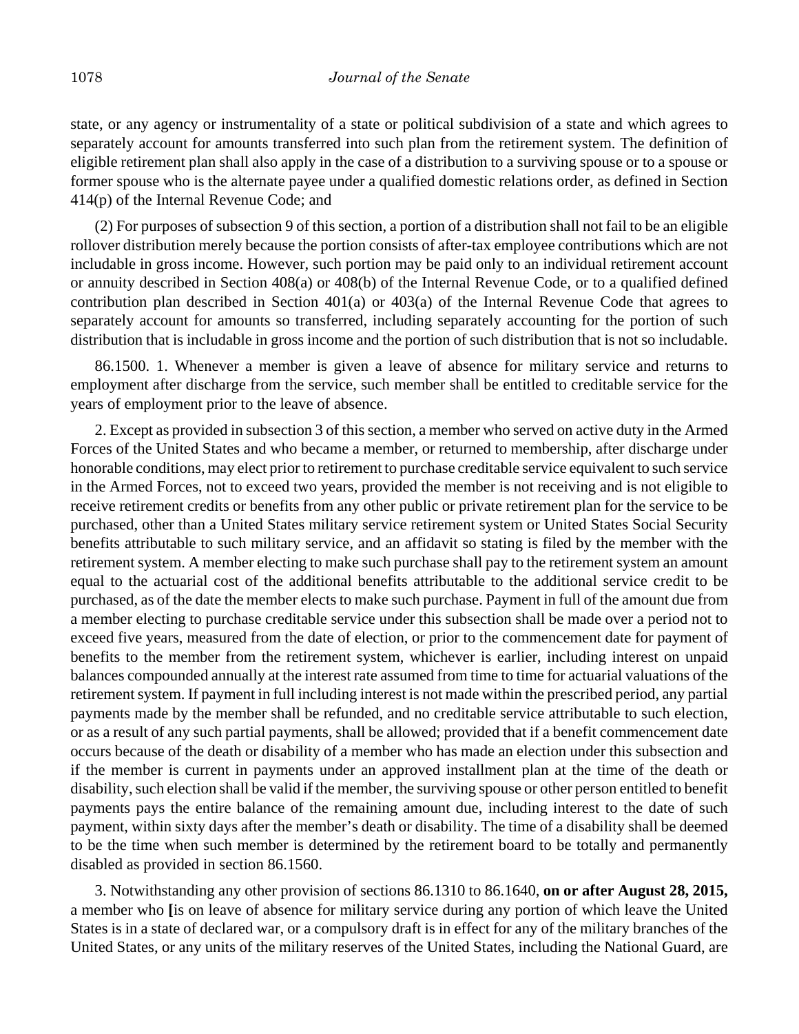state, or any agency or instrumentality of a state or political subdivision of a state and which agrees to separately account for amounts transferred into such plan from the retirement system. The definition of eligible retirement plan shall also apply in the case of a distribution to a surviving spouse or to a spouse or former spouse who is the alternate payee under a qualified domestic relations order, as defined in Section 414(p) of the Internal Revenue Code; and

(2) For purposes of subsection 9 of this section, a portion of a distribution shall not fail to be an eligible rollover distribution merely because the portion consists of after-tax employee contributions which are not includable in gross income. However, such portion may be paid only to an individual retirement account or annuity described in Section 408(a) or 408(b) of the Internal Revenue Code, or to a qualified defined contribution plan described in Section 401(a) or 403(a) of the Internal Revenue Code that agrees to separately account for amounts so transferred, including separately accounting for the portion of such distribution that is includable in gross income and the portion of such distribution that is not so includable.

86.1500. 1. Whenever a member is given a leave of absence for military service and returns to employment after discharge from the service, such member shall be entitled to creditable service for the years of employment prior to the leave of absence.

2. Except as provided in subsection 3 of this section, a member who served on active duty in the Armed Forces of the United States and who became a member, or returned to membership, after discharge under honorable conditions, may elect prior to retirement to purchase creditable service equivalent to such service in the Armed Forces, not to exceed two years, provided the member is not receiving and is not eligible to receive retirement credits or benefits from any other public or private retirement plan for the service to be purchased, other than a United States military service retirement system or United States Social Security benefits attributable to such military service, and an affidavit so stating is filed by the member with the retirement system. A member electing to make such purchase shall pay to the retirement system an amount equal to the actuarial cost of the additional benefits attributable to the additional service credit to be purchased, as of the date the member elects to make such purchase. Payment in full of the amount due from a member electing to purchase creditable service under this subsection shall be made over a period not to exceed five years, measured from the date of election, or prior to the commencement date for payment of benefits to the member from the retirement system, whichever is earlier, including interest on unpaid balances compounded annually at the interest rate assumed from time to time for actuarial valuations of the retirement system. If payment in full including interest is not made within the prescribed period, any partial payments made by the member shall be refunded, and no creditable service attributable to such election, or as a result of any such partial payments, shall be allowed; provided that if a benefit commencement date occurs because of the death or disability of a member who has made an election under this subsection and if the member is current in payments under an approved installment plan at the time of the death or disability, such election shall be valid if the member, the surviving spouse or other person entitled to benefit payments pays the entire balance of the remaining amount due, including interest to the date of such payment, within sixty days after the member's death or disability. The time of a disability shall be deemed to be the time when such member is determined by the retirement board to be totally and permanently disabled as provided in section 86.1560.

3. Notwithstanding any other provision of sections 86.1310 to 86.1640, **on or after August 28, 2015,** a member who **[**is on leave of absence for military service during any portion of which leave the United States is in a state of declared war, or a compulsory draft is in effect for any of the military branches of the United States, or any units of the military reserves of the United States, including the National Guard, are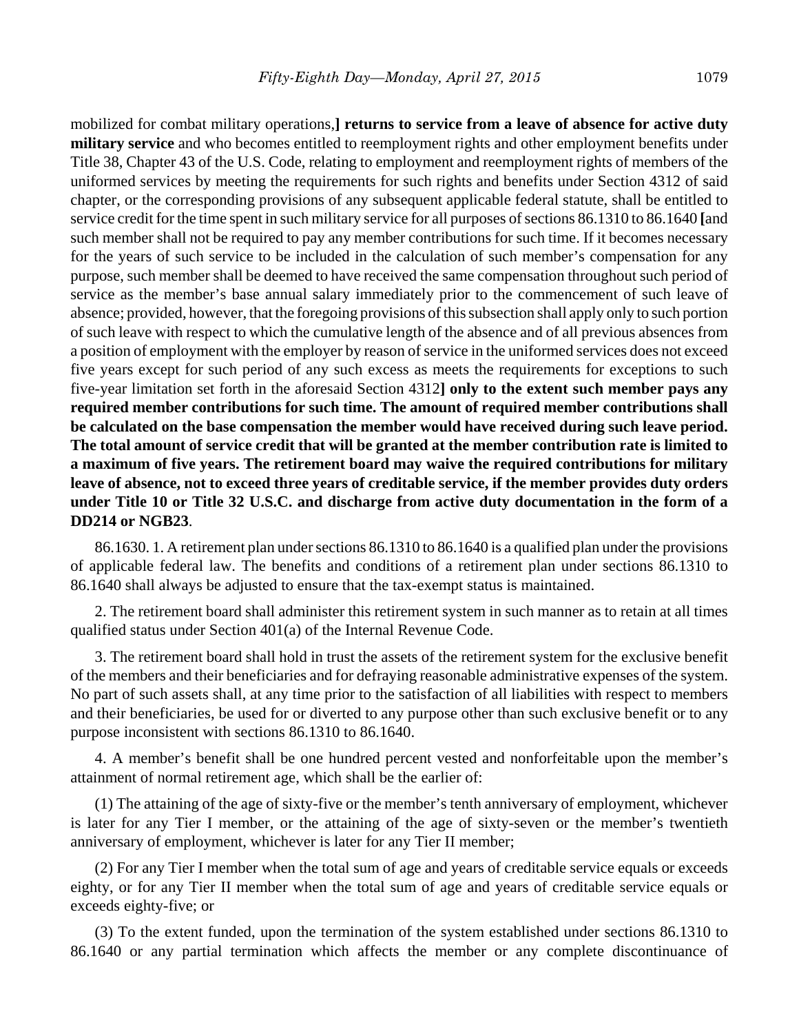mobilized for combat military operations,**] returns to service from a leave of absence for active duty military service** and who becomes entitled to reemployment rights and other employment benefits under Title 38, Chapter 43 of the U.S. Code, relating to employment and reemployment rights of members of the uniformed services by meeting the requirements for such rights and benefits under Section 4312 of said chapter, or the corresponding provisions of any subsequent applicable federal statute, shall be entitled to service credit for the time spent in such military service for all purposes of sections 86.1310 to 86.1640 **[**and such member shall not be required to pay any member contributions for such time. If it becomes necessary for the years of such service to be included in the calculation of such member's compensation for any purpose, such member shall be deemed to have received the same compensation throughout such period of service as the member's base annual salary immediately prior to the commencement of such leave of absence; provided, however, that the foregoing provisions of this subsection shall apply only to such portion of such leave with respect to which the cumulative length of the absence and of all previous absences from a position of employment with the employer by reason of service in the uniformed services does not exceed five years except for such period of any such excess as meets the requirements for exceptions to such five-year limitation set forth in the aforesaid Section 4312**] only to the extent such member pays any required member contributions for such time. The amount of required member contributions shall be calculated on the base compensation the member would have received during such leave period. The total amount of service credit that will be granted at the member contribution rate is limited to a maximum of five years. The retirement board may waive the required contributions for military leave of absence, not to exceed three years of creditable service, if the member provides duty orders under Title 10 or Title 32 U.S.C. and discharge from active duty documentation in the form of a DD214 or NGB23**.

86.1630. 1. A retirement plan under sections 86.1310 to 86.1640 is a qualified plan under the provisions of applicable federal law. The benefits and conditions of a retirement plan under sections 86.1310 to 86.1640 shall always be adjusted to ensure that the tax-exempt status is maintained.

2. The retirement board shall administer this retirement system in such manner as to retain at all times qualified status under Section 401(a) of the Internal Revenue Code.

3. The retirement board shall hold in trust the assets of the retirement system for the exclusive benefit of the members and their beneficiaries and for defraying reasonable administrative expenses of the system. No part of such assets shall, at any time prior to the satisfaction of all liabilities with respect to members and their beneficiaries, be used for or diverted to any purpose other than such exclusive benefit or to any purpose inconsistent with sections 86.1310 to 86.1640.

4. A member's benefit shall be one hundred percent vested and nonforfeitable upon the member's attainment of normal retirement age, which shall be the earlier of:

(1) The attaining of the age of sixty-five or the member's tenth anniversary of employment, whichever is later for any Tier I member, or the attaining of the age of sixty-seven or the member's twentieth anniversary of employment, whichever is later for any Tier II member;

(2) For any Tier I member when the total sum of age and years of creditable service equals or exceeds eighty, or for any Tier II member when the total sum of age and years of creditable service equals or exceeds eighty-five; or

(3) To the extent funded, upon the termination of the system established under sections 86.1310 to 86.1640 or any partial termination which affects the member or any complete discontinuance of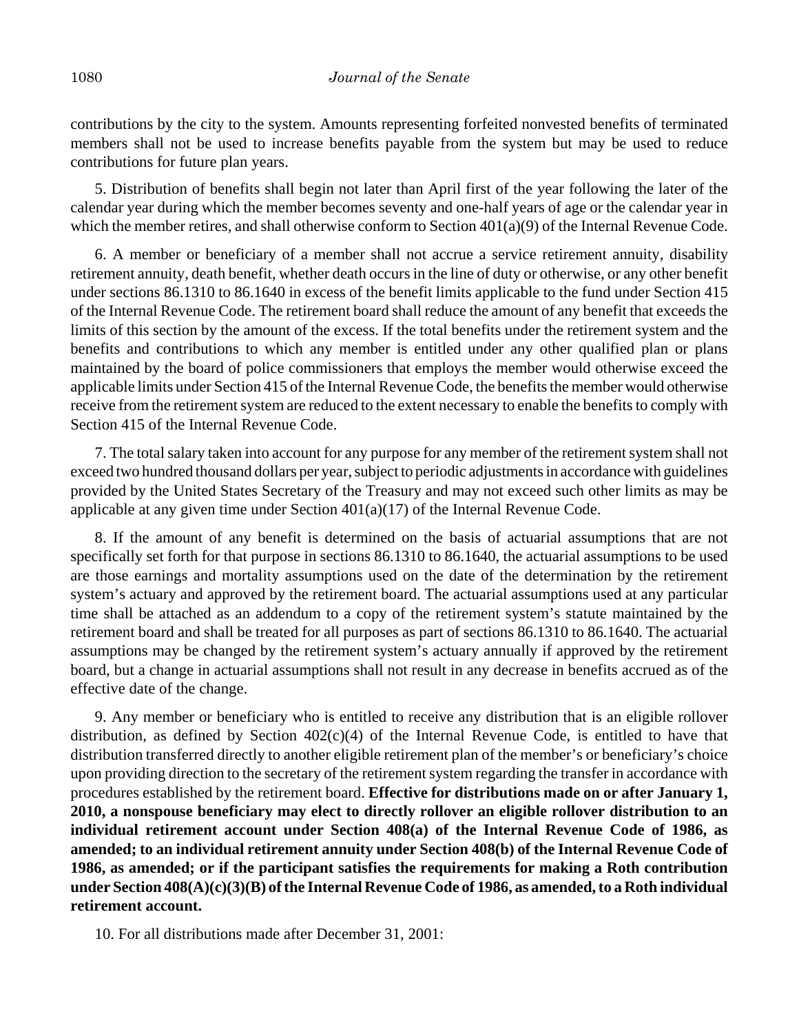contributions by the city to the system. Amounts representing forfeited nonvested benefits of terminated members shall not be used to increase benefits payable from the system but may be used to reduce contributions for future plan years.

5. Distribution of benefits shall begin not later than April first of the year following the later of the calendar year during which the member becomes seventy and one-half years of age or the calendar year in which the member retires, and shall otherwise conform to Section 401(a)(9) of the Internal Revenue Code.

6. A member or beneficiary of a member shall not accrue a service retirement annuity, disability retirement annuity, death benefit, whether death occurs in the line of duty or otherwise, or any other benefit under sections 86.1310 to 86.1640 in excess of the benefit limits applicable to the fund under Section 415 of the Internal Revenue Code. The retirement board shall reduce the amount of any benefit that exceeds the limits of this section by the amount of the excess. If the total benefits under the retirement system and the benefits and contributions to which any member is entitled under any other qualified plan or plans maintained by the board of police commissioners that employs the member would otherwise exceed the applicable limits under Section 415 of the Internal Revenue Code, the benefits the member would otherwise receive from the retirement system are reduced to the extent necessary to enable the benefits to comply with Section 415 of the Internal Revenue Code.

7. The total salary taken into account for any purpose for any member of the retirement system shall not exceed two hundred thousand dollars per year, subject to periodic adjustments in accordance with guidelines provided by the United States Secretary of the Treasury and may not exceed such other limits as may be applicable at any given time under Section 401(a)(17) of the Internal Revenue Code.

8. If the amount of any benefit is determined on the basis of actuarial assumptions that are not specifically set forth for that purpose in sections 86.1310 to 86.1640, the actuarial assumptions to be used are those earnings and mortality assumptions used on the date of the determination by the retirement system's actuary and approved by the retirement board. The actuarial assumptions used at any particular time shall be attached as an addendum to a copy of the retirement system's statute maintained by the retirement board and shall be treated for all purposes as part of sections 86.1310 to 86.1640. The actuarial assumptions may be changed by the retirement system's actuary annually if approved by the retirement board, but a change in actuarial assumptions shall not result in any decrease in benefits accrued as of the effective date of the change.

9. Any member or beneficiary who is entitled to receive any distribution that is an eligible rollover distribution, as defined by Section 402(c)(4) of the Internal Revenue Code, is entitled to have that distribution transferred directly to another eligible retirement plan of the member's or beneficiary's choice upon providing direction to the secretary of the retirement system regarding the transfer in accordance with procedures established by the retirement board. **Effective for distributions made on or after January 1, 2010, a nonspouse beneficiary may elect to directly rollover an eligible rollover distribution to an individual retirement account under Section 408(a) of the Internal Revenue Code of 1986, as amended; to an individual retirement annuity under Section 408(b) of the Internal Revenue Code of 1986, as amended; or if the participant satisfies the requirements for making a Roth contribution under Section 408(A)(c)(3)(B) of the Internal Revenue Code of 1986, as amended, to a Roth individual retirement account.**

10. For all distributions made after December 31, 2001: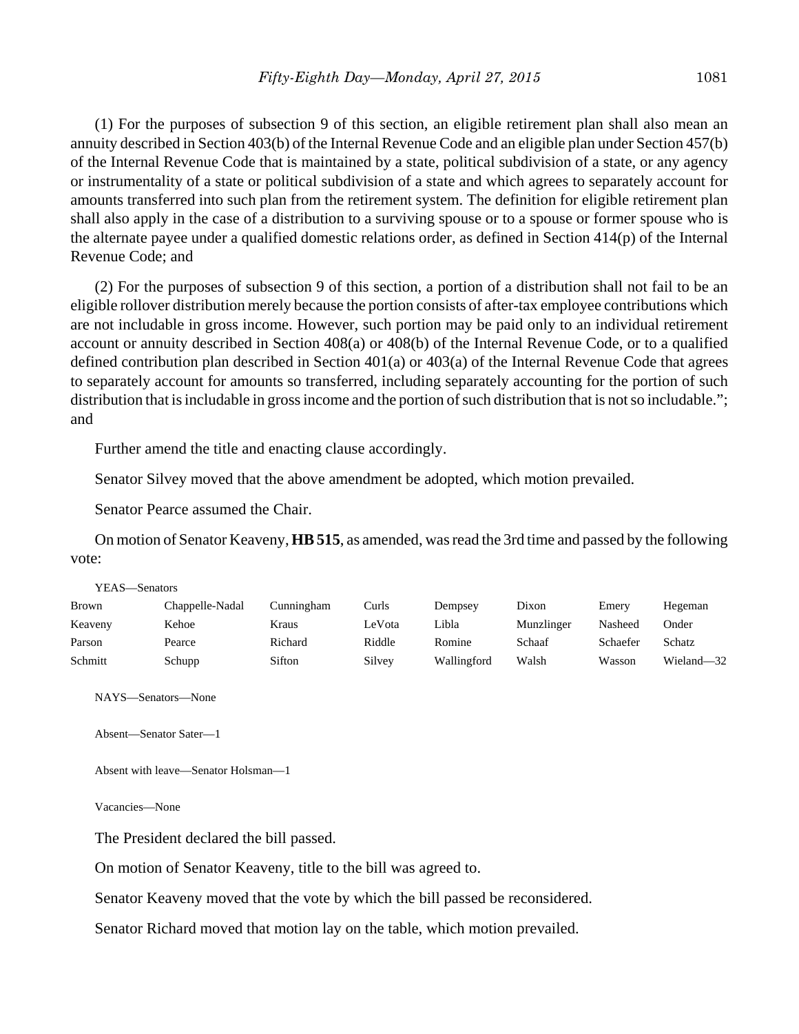(1) For the purposes of subsection 9 of this section, an eligible retirement plan shall also mean an annuity described in Section 403(b) of the Internal Revenue Code and an eligible plan under Section 457(b) of the Internal Revenue Code that is maintained by a state, political subdivision of a state, or any agency or instrumentality of a state or political subdivision of a state and which agrees to separately account for amounts transferred into such plan from the retirement system. The definition for eligible retirement plan shall also apply in the case of a distribution to a surviving spouse or to a spouse or former spouse who is the alternate payee under a qualified domestic relations order, as defined in Section 414(p) of the Internal Revenue Code; and

(2) For the purposes of subsection 9 of this section, a portion of a distribution shall not fail to be an eligible rollover distribution merely because the portion consists of after-tax employee contributions which are not includable in gross income. However, such portion may be paid only to an individual retirement account or annuity described in Section 408(a) or 408(b) of the Internal Revenue Code, or to a qualified defined contribution plan described in Section 401(a) or 403(a) of the Internal Revenue Code that agrees to separately account for amounts so transferred, including separately accounting for the portion of such distribution that is includable in gross income and the portion of such distribution that is not so includable."; and

Further amend the title and enacting clause accordingly.

Senator Silvey moved that the above amendment be adopted, which motion prevailed.

Senator Pearce assumed the Chair.

On motion of Senator Keaveny, **HB 515**, as amended, was read the 3rd time and passed by the following vote:

| YEAS—Senators |                 |            |        |             |            |          |            |
|---------------|-----------------|------------|--------|-------------|------------|----------|------------|
| <b>Brown</b>  | Chappelle-Nadal | Cunningham | Curls  | Dempsey     | Dixon      | Emery    | Hegeman    |
| Keaveny       | Kehoe           | Kraus      | LeVota | Libla       | Munzlinger | Nasheed  | Onder      |
| Parson        | Pearce          | Richard    | Riddle | Romine      | Schaaf     | Schaefer | Schatz     |
| Schmitt       | Schupp          | Sifton     | Silvey | Wallingford | Walsh      | Wasson   | Wieland-32 |

NAYS—Senators—None

Absent—Senator Sater—1

Absent with leave—Senator Holsman—1

Vacancies—None

The President declared the bill passed.

On motion of Senator Keaveny, title to the bill was agreed to.

Senator Keaveny moved that the vote by which the bill passed be reconsidered.

Senator Richard moved that motion lay on the table, which motion prevailed.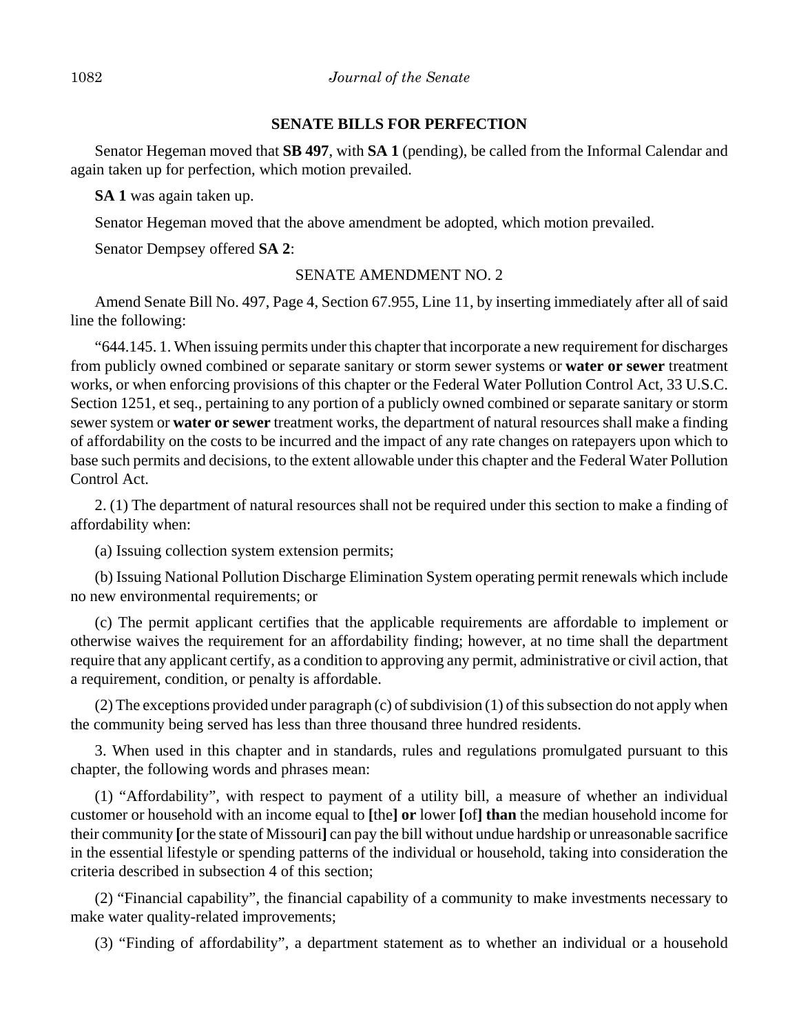## **SENATE BILLS FOR PERFECTION**

Senator Hegeman moved that **SB 497**, with **SA 1** (pending), be called from the Informal Calendar and again taken up for perfection, which motion prevailed.

**SA 1** was again taken up.

Senator Hegeman moved that the above amendment be adopted, which motion prevailed.

Senator Dempsey offered **SA 2**:

# SENATE AMENDMENT NO. 2

Amend Senate Bill No. 497, Page 4, Section 67.955, Line 11, by inserting immediately after all of said line the following:

"644.145. 1. When issuing permits under this chapter that incorporate a new requirement for discharges from publicly owned combined or separate sanitary or storm sewer systems or **water or sewer** treatment works, or when enforcing provisions of this chapter or the Federal Water Pollution Control Act, 33 U.S.C. Section 1251, et seq., pertaining to any portion of a publicly owned combined or separate sanitary or storm sewer system or **water or sewer** treatment works, the department of natural resources shall make a finding of affordability on the costs to be incurred and the impact of any rate changes on ratepayers upon which to base such permits and decisions, to the extent allowable under this chapter and the Federal Water Pollution Control Act.

2. (1) The department of natural resources shall not be required under this section to make a finding of affordability when:

(a) Issuing collection system extension permits;

(b) Issuing National Pollution Discharge Elimination System operating permit renewals which include no new environmental requirements; or

(c) The permit applicant certifies that the applicable requirements are affordable to implement or otherwise waives the requirement for an affordability finding; however, at no time shall the department require that any applicant certify, as a condition to approving any permit, administrative or civil action, that a requirement, condition, or penalty is affordable.

(2) The exceptions provided under paragraph (c) of subdivision (1) of this subsection do not apply when the community being served has less than three thousand three hundred residents.

3. When used in this chapter and in standards, rules and regulations promulgated pursuant to this chapter, the following words and phrases mean:

(1) "Affordability", with respect to payment of a utility bill, a measure of whether an individual customer or household with an income equal to **[**the**] or** lower **[**of**] than** the median household income for their community **[**or the state of Missouri**]** can pay the bill without undue hardship or unreasonable sacrifice in the essential lifestyle or spending patterns of the individual or household, taking into consideration the criteria described in subsection 4 of this section;

(2) "Financial capability", the financial capability of a community to make investments necessary to make water quality-related improvements;

(3) "Finding of affordability", a department statement as to whether an individual or a household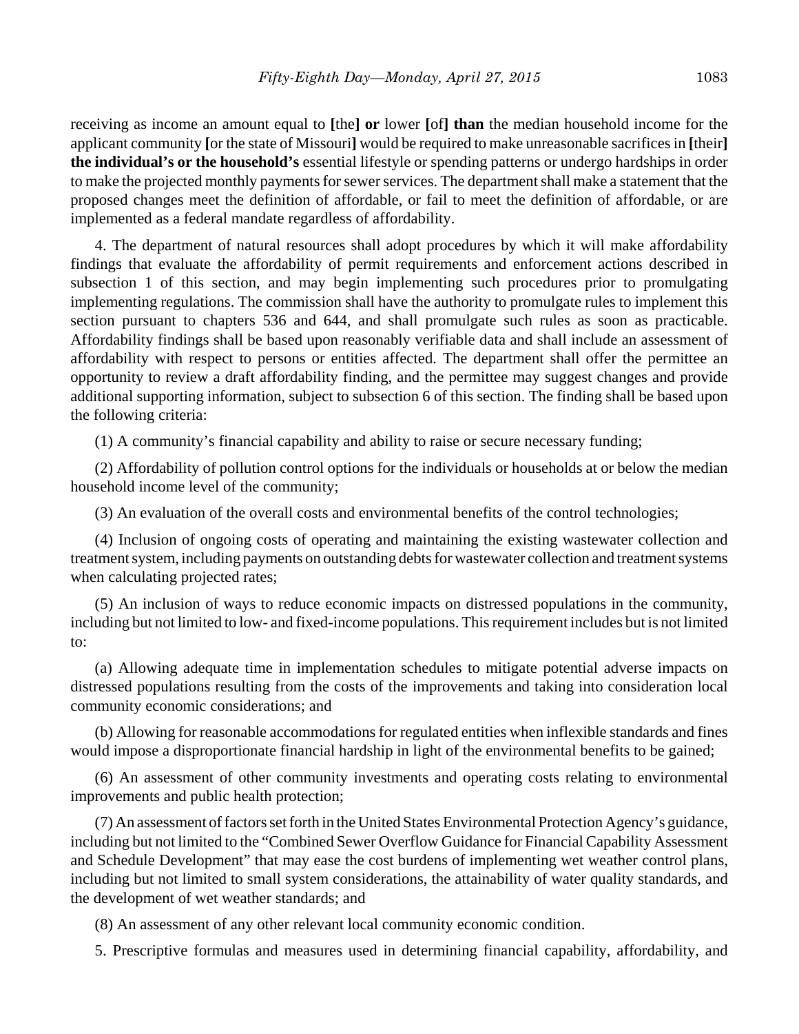receiving as income an amount equal to **[**the**] or** lower **[**of**] than** the median household income for the applicant community **[**or the state of Missouri**]** would be required to make unreasonable sacrifices in **[**their**] the individual's or the household's** essential lifestyle or spending patterns or undergo hardships in order to make the projected monthly payments for sewer services. The department shall make a statement that the proposed changes meet the definition of affordable, or fail to meet the definition of affordable, or are implemented as a federal mandate regardless of affordability.

4. The department of natural resources shall adopt procedures by which it will make affordability findings that evaluate the affordability of permit requirements and enforcement actions described in subsection 1 of this section, and may begin implementing such procedures prior to promulgating implementing regulations. The commission shall have the authority to promulgate rules to implement this section pursuant to chapters 536 and 644, and shall promulgate such rules as soon as practicable. Affordability findings shall be based upon reasonably verifiable data and shall include an assessment of affordability with respect to persons or entities affected. The department shall offer the permittee an opportunity to review a draft affordability finding, and the permittee may suggest changes and provide additional supporting information, subject to subsection 6 of this section. The finding shall be based upon the following criteria:

(1) A community's financial capability and ability to raise or secure necessary funding;

(2) Affordability of pollution control options for the individuals or households at or below the median household income level of the community;

(3) An evaluation of the overall costs and environmental benefits of the control technologies;

(4) Inclusion of ongoing costs of operating and maintaining the existing wastewater collection and treatment system, including payments on outstanding debts for wastewater collection and treatment systems when calculating projected rates;

(5) An inclusion of ways to reduce economic impacts on distressed populations in the community, including but not limited to low- and fixed-income populations. This requirement includes but is not limited to:

(a) Allowing adequate time in implementation schedules to mitigate potential adverse impacts on distressed populations resulting from the costs of the improvements and taking into consideration local community economic considerations; and

(b) Allowing for reasonable accommodations for regulated entities when inflexible standards and fines would impose a disproportionate financial hardship in light of the environmental benefits to be gained;

(6) An assessment of other community investments and operating costs relating to environmental improvements and public health protection;

(7) An assessment of factors set forth in the United States Environmental Protection Agency's guidance, including but not limited to the "Combined Sewer Overflow Guidance for Financial Capability Assessment and Schedule Development" that may ease the cost burdens of implementing wet weather control plans, including but not limited to small system considerations, the attainability of water quality standards, and the development of wet weather standards; and

(8) An assessment of any other relevant local community economic condition.

5. Prescriptive formulas and measures used in determining financial capability, affordability, and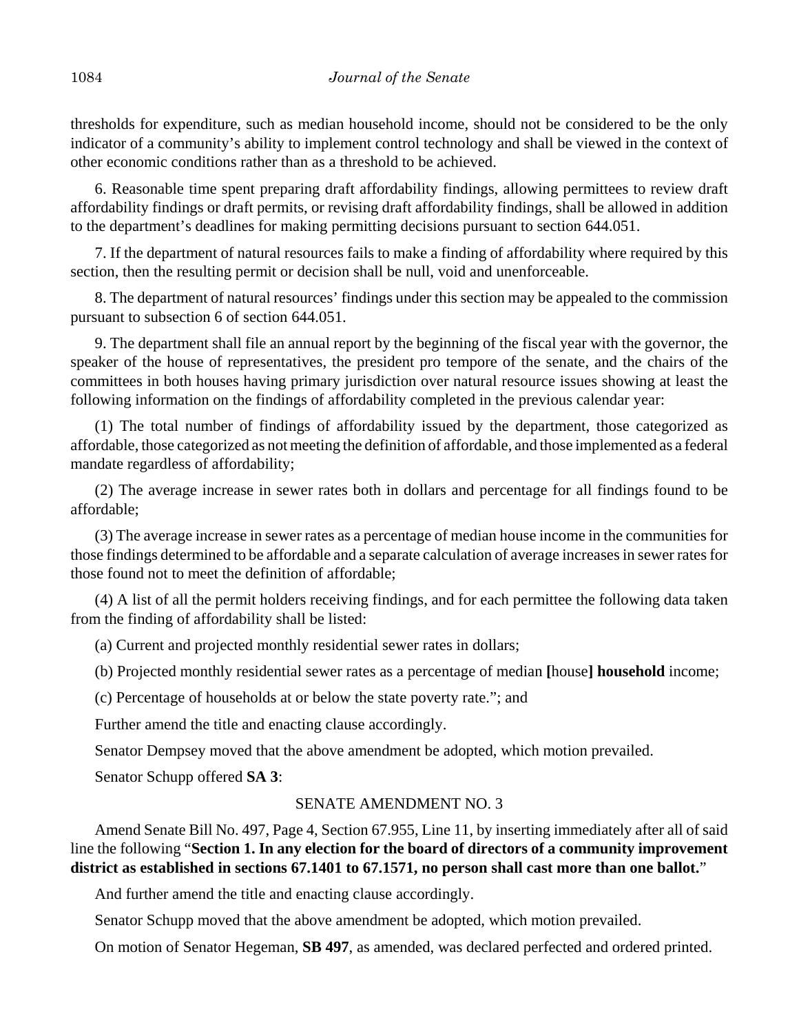thresholds for expenditure, such as median household income, should not be considered to be the only indicator of a community's ability to implement control technology and shall be viewed in the context of other economic conditions rather than as a threshold to be achieved.

6. Reasonable time spent preparing draft affordability findings, allowing permittees to review draft affordability findings or draft permits, or revising draft affordability findings, shall be allowed in addition to the department's deadlines for making permitting decisions pursuant to section 644.051.

7. If the department of natural resources fails to make a finding of affordability where required by this section, then the resulting permit or decision shall be null, void and unenforceable.

8. The department of natural resources' findings under this section may be appealed to the commission pursuant to subsection 6 of section 644.051.

9. The department shall file an annual report by the beginning of the fiscal year with the governor, the speaker of the house of representatives, the president pro tempore of the senate, and the chairs of the committees in both houses having primary jurisdiction over natural resource issues showing at least the following information on the findings of affordability completed in the previous calendar year:

(1) The total number of findings of affordability issued by the department, those categorized as affordable, those categorized as not meeting the definition of affordable, and those implemented as a federal mandate regardless of affordability;

(2) The average increase in sewer rates both in dollars and percentage for all findings found to be affordable;

(3) The average increase in sewer rates as a percentage of median house income in the communities for those findings determined to be affordable and a separate calculation of average increases in sewer rates for those found not to meet the definition of affordable;

(4) A list of all the permit holders receiving findings, and for each permittee the following data taken from the finding of affordability shall be listed:

(a) Current and projected monthly residential sewer rates in dollars;

(b) Projected monthly residential sewer rates as a percentage of median **[**house**] household** income;

(c) Percentage of households at or below the state poverty rate."; and

Further amend the title and enacting clause accordingly.

Senator Dempsey moved that the above amendment be adopted, which motion prevailed.

Senator Schupp offered **SA 3**:

## SENATE AMENDMENT NO. 3

Amend Senate Bill No. 497, Page 4, Section 67.955, Line 11, by inserting immediately after all of said line the following "**Section 1. In any election for the board of directors of a community improvement district as established in sections 67.1401 to 67.1571, no person shall cast more than one ballot.**"

And further amend the title and enacting clause accordingly.

Senator Schupp moved that the above amendment be adopted, which motion prevailed.

On motion of Senator Hegeman, **SB 497**, as amended, was declared perfected and ordered printed.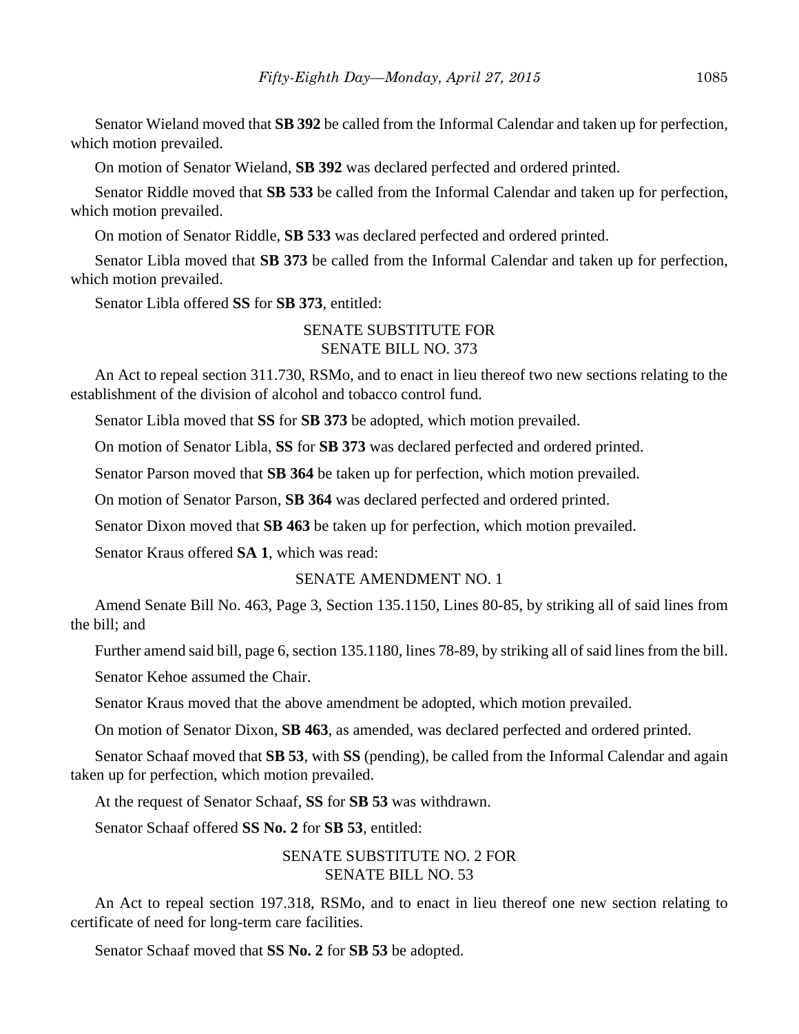Senator Wieland moved that **SB 392** be called from the Informal Calendar and taken up for perfection, which motion prevailed.

On motion of Senator Wieland, **SB 392** was declared perfected and ordered printed.

Senator Riddle moved that **SB 533** be called from the Informal Calendar and taken up for perfection, which motion prevailed.

On motion of Senator Riddle, **SB 533** was declared perfected and ordered printed.

Senator Libla moved that **SB 373** be called from the Informal Calendar and taken up for perfection, which motion prevailed.

Senator Libla offered **SS** for **SB 373**, entitled:

## SENATE SUBSTITUTE FOR SENATE BILL NO. 373

An Act to repeal section 311.730, RSMo, and to enact in lieu thereof two new sections relating to the establishment of the division of alcohol and tobacco control fund.

Senator Libla moved that **SS** for **SB 373** be adopted, which motion prevailed.

On motion of Senator Libla, **SS** for **SB 373** was declared perfected and ordered printed.

Senator Parson moved that **SB 364** be taken up for perfection, which motion prevailed.

On motion of Senator Parson, **SB 364** was declared perfected and ordered printed.

Senator Dixon moved that **SB 463** be taken up for perfection, which motion prevailed.

Senator Kraus offered **SA 1**, which was read:

## SENATE AMENDMENT NO. 1

Amend Senate Bill No. 463, Page 3, Section 135.1150, Lines 80-85, by striking all of said lines from the bill; and

Further amend said bill, page 6, section 135.1180, lines 78-89, by striking all of said lines from the bill.

Senator Kehoe assumed the Chair.

Senator Kraus moved that the above amendment be adopted, which motion prevailed.

On motion of Senator Dixon, **SB 463**, as amended, was declared perfected and ordered printed.

Senator Schaaf moved that **SB 53**, with **SS** (pending), be called from the Informal Calendar and again taken up for perfection, which motion prevailed.

At the request of Senator Schaaf, **SS** for **SB 53** was withdrawn.

Senator Schaaf offered **SS No. 2** for **SB 53**, entitled:

# SENATE SUBSTITUTE NO. 2 FOR SENATE BILL NO. 53

An Act to repeal section 197.318, RSMo, and to enact in lieu thereof one new section relating to certificate of need for long-term care facilities.

Senator Schaaf moved that **SS No. 2** for **SB 53** be adopted.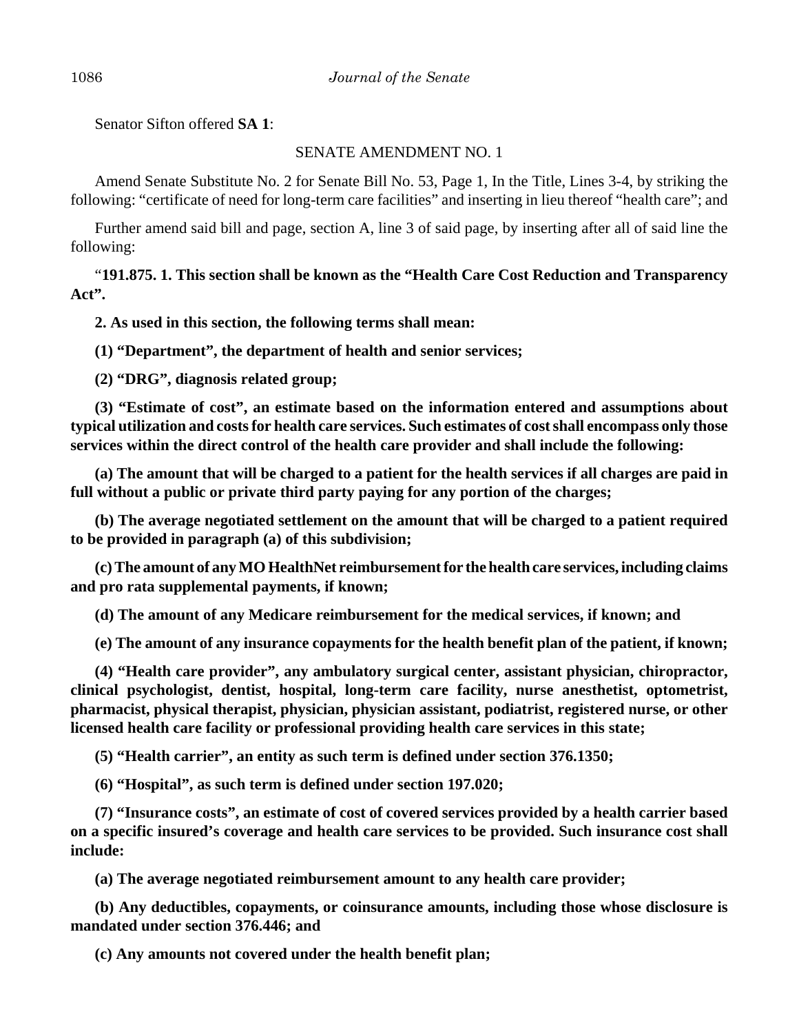Senator Sifton offered **SA 1**:

## SENATE AMENDMENT NO. 1

Amend Senate Substitute No. 2 for Senate Bill No. 53, Page 1, In the Title, Lines 3-4, by striking the following: "certificate of need for long-term care facilities" and inserting in lieu thereof "health care"; and

Further amend said bill and page, section A, line 3 of said page, by inserting after all of said line the following:

"**191.875. 1. This section shall be known as the "Health Care Cost Reduction and Transparency Act".**

**2. As used in this section, the following terms shall mean:**

**(1) "Department", the department of health and senior services;**

**(2) "DRG", diagnosis related group;**

**(3) "Estimate of cost", an estimate based on the information entered and assumptions about typical utilization and costs for health care services. Such estimates of cost shall encompass only those services within the direct control of the health care provider and shall include the following:**

**(a) The amount that will be charged to a patient for the health services if all charges are paid in full without a public or private third party paying for any portion of the charges;**

**(b) The average negotiated settlement on the amount that will be charged to a patient required to be provided in paragraph (a) of this subdivision;**

**(c) The amount of any MO HealthNet reimbursement for the health care services, including claims and pro rata supplemental payments, if known;**

**(d) The amount of any Medicare reimbursement for the medical services, if known; and**

**(e) The amount of any insurance copayments for the health benefit plan of the patient, if known;**

**(4) "Health care provider", any ambulatory surgical center, assistant physician, chiropractor, clinical psychologist, dentist, hospital, long-term care facility, nurse anesthetist, optometrist, pharmacist, physical therapist, physician, physician assistant, podiatrist, registered nurse, or other licensed health care facility or professional providing health care services in this state;**

**(5) "Health carrier", an entity as such term is defined under section 376.1350;**

**(6) "Hospital", as such term is defined under section 197.020;**

**(7) "Insurance costs", an estimate of cost of covered services provided by a health carrier based on a specific insured's coverage and health care services to be provided. Such insurance cost shall include:**

**(a) The average negotiated reimbursement amount to any health care provider;**

**(b) Any deductibles, copayments, or coinsurance amounts, including those whose disclosure is mandated under section 376.446; and**

**(c) Any amounts not covered under the health benefit plan;**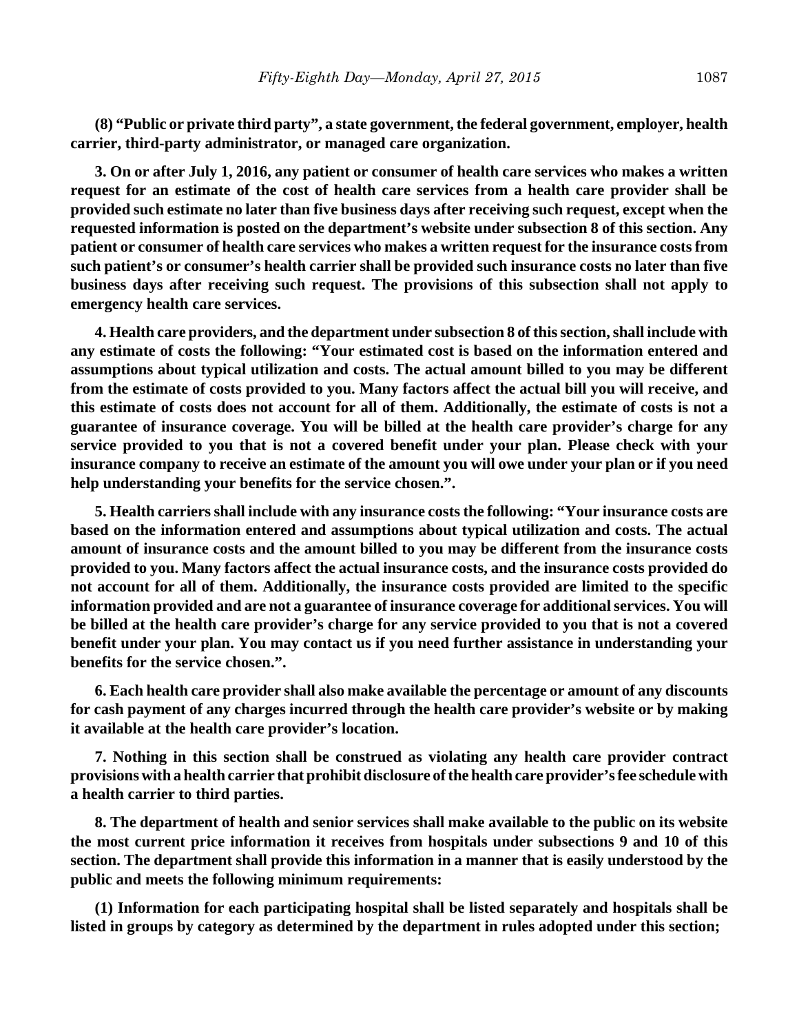**(8) "Public or private third party", a state government, the federal government, employer, health carrier, third-party administrator, or managed care organization.**

**3. On or after July 1, 2016, any patient or consumer of health care services who makes a written request for an estimate of the cost of health care services from a health care provider shall be provided such estimate no later than five business days after receiving such request, except when the requested information is posted on the department's website under subsection 8 of this section. Any patient or consumer of health care services who makes a written request for the insurance costs from such patient's or consumer's health carrier shall be provided such insurance costs no later than five business days after receiving such request. The provisions of this subsection shall not apply to emergency health care services.**

**4. Health care providers, and the department under subsection 8 of this section, shall include with any estimate of costs the following: "Your estimated cost is based on the information entered and assumptions about typical utilization and costs. The actual amount billed to you may be different from the estimate of costs provided to you. Many factors affect the actual bill you will receive, and this estimate of costs does not account for all of them. Additionally, the estimate of costs is not a guarantee of insurance coverage. You will be billed at the health care provider's charge for any service provided to you that is not a covered benefit under your plan. Please check with your insurance company to receive an estimate of the amount you will owe under your plan or if you need help understanding your benefits for the service chosen.".**

**5. Health carriers shall include with any insurance costs the following: "Your insurance costs are based on the information entered and assumptions about typical utilization and costs. The actual amount of insurance costs and the amount billed to you may be different from the insurance costs provided to you. Many factors affect the actual insurance costs, and the insurance costs provided do not account for all of them. Additionally, the insurance costs provided are limited to the specific information provided and are not a guarantee of insurance coverage for additional services. You will be billed at the health care provider's charge for any service provided to you that is not a covered benefit under your plan. You may contact us if you need further assistance in understanding your benefits for the service chosen.".**

**6. Each health care provider shall also make available the percentage or amount of any discounts for cash payment of any charges incurred through the health care provider's website or by making it available at the health care provider's location.**

**7. Nothing in this section shall be construed as violating any health care provider contract provisions with a health carrier that prohibit disclosure of the health care provider's fee schedule with a health carrier to third parties.**

**8. The department of health and senior services shall make available to the public on its website the most current price information it receives from hospitals under subsections 9 and 10 of this section. The department shall provide this information in a manner that is easily understood by the public and meets the following minimum requirements:**

**(1) Information for each participating hospital shall be listed separately and hospitals shall be listed in groups by category as determined by the department in rules adopted under this section;**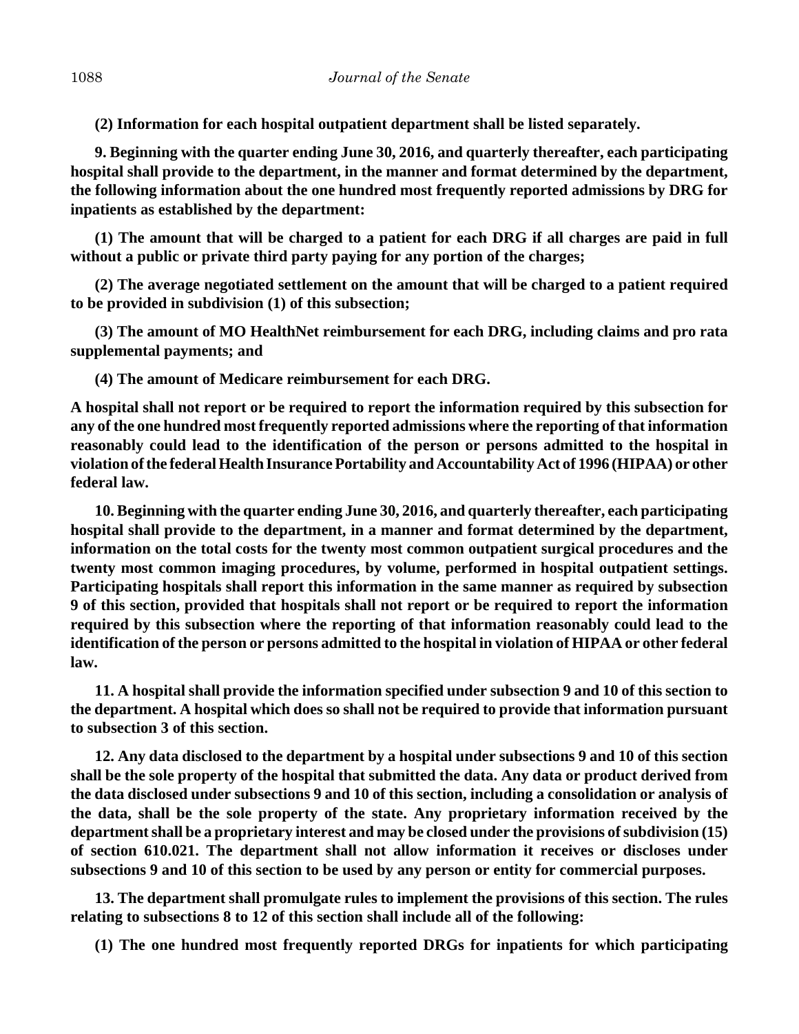**(2) Information for each hospital outpatient department shall be listed separately.**

**9. Beginning with the quarter ending June 30, 2016, and quarterly thereafter, each participating hospital shall provide to the department, in the manner and format determined by the department, the following information about the one hundred most frequently reported admissions by DRG for inpatients as established by the department:**

**(1) The amount that will be charged to a patient for each DRG if all charges are paid in full without a public or private third party paying for any portion of the charges;**

**(2) The average negotiated settlement on the amount that will be charged to a patient required to be provided in subdivision (1) of this subsection;**

**(3) The amount of MO HealthNet reimbursement for each DRG, including claims and pro rata supplemental payments; and**

**(4) The amount of Medicare reimbursement for each DRG.**

**A hospital shall not report or be required to report the information required by this subsection for any of the one hundred most frequently reported admissions where the reporting of that information reasonably could lead to the identification of the person or persons admitted to the hospital in violation of the federal Health Insurance Portability and Accountability Act of 1996 (HIPAA) or other federal law.**

**10. Beginning with the quarter ending June 30, 2016, and quarterly thereafter, each participating hospital shall provide to the department, in a manner and format determined by the department, information on the total costs for the twenty most common outpatient surgical procedures and the twenty most common imaging procedures, by volume, performed in hospital outpatient settings. Participating hospitals shall report this information in the same manner as required by subsection 9 of this section, provided that hospitals shall not report or be required to report the information required by this subsection where the reporting of that information reasonably could lead to the identification of the person or persons admitted to the hospital in violation of HIPAA or other federal law.**

**11. A hospital shall provide the information specified under subsection 9 and 10 of this section to the department. A hospital which does so shall not be required to provide that information pursuant to subsection 3 of this section.**

**12. Any data disclosed to the department by a hospital under subsections 9 and 10 of this section shall be the sole property of the hospital that submitted the data. Any data or product derived from the data disclosed under subsections 9 and 10 of this section, including a consolidation or analysis of the data, shall be the sole property of the state. Any proprietary information received by the department shall be a proprietary interest and may be closed under the provisions of subdivision (15) of section 610.021. The department shall not allow information it receives or discloses under subsections 9 and 10 of this section to be used by any person or entity for commercial purposes.**

**13. The department shall promulgate rules to implement the provisions of this section. The rules relating to subsections 8 to 12 of this section shall include all of the following:**

**(1) The one hundred most frequently reported DRGs for inpatients for which participating**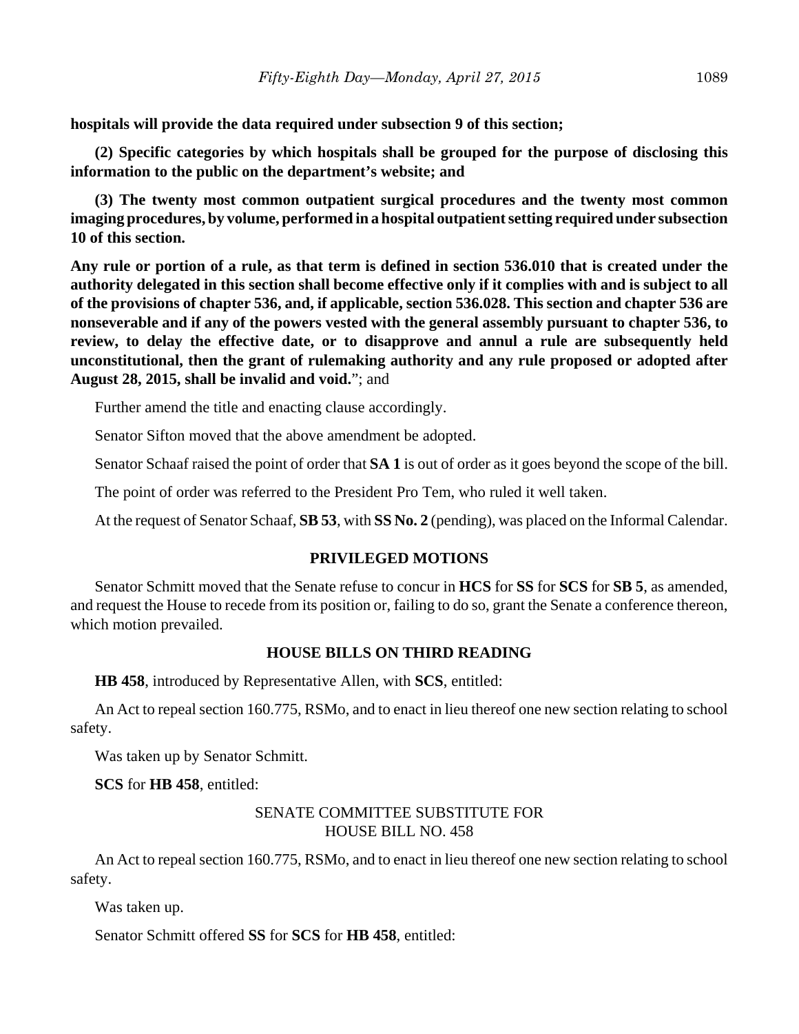**hospitals will provide the data required under subsection 9 of this section;**

**(2) Specific categories by which hospitals shall be grouped for the purpose of disclosing this information to the public on the department's website; and**

**(3) The twenty most common outpatient surgical procedures and the twenty most common imaging procedures, by volume, performed in a hospital outpatient setting required under subsection 10 of this section.**

**Any rule or portion of a rule, as that term is defined in section 536.010 that is created under the authority delegated in this section shall become effective only if it complies with and is subject to all of the provisions of chapter 536, and, if applicable, section 536.028. This section and chapter 536 are nonseverable and if any of the powers vested with the general assembly pursuant to chapter 536, to review, to delay the effective date, or to disapprove and annul a rule are subsequently held unconstitutional, then the grant of rulemaking authority and any rule proposed or adopted after August 28, 2015, shall be invalid and void.**"; and

Further amend the title and enacting clause accordingly.

Senator Sifton moved that the above amendment be adopted.

Senator Schaaf raised the point of order that **SA 1** is out of order as it goes beyond the scope of the bill.

The point of order was referred to the President Pro Tem, who ruled it well taken.

At the request of Senator Schaaf, **SB 53**, with **SS No. 2** (pending), was placed on the Informal Calendar.

## **PRIVILEGED MOTIONS**

Senator Schmitt moved that the Senate refuse to concur in **HCS** for **SS** for **SCS** for **SB 5**, as amended, and request the House to recede from its position or, failing to do so, grant the Senate a conference thereon, which motion prevailed.

## **HOUSE BILLS ON THIRD READING**

**HB 458**, introduced by Representative Allen, with **SCS**, entitled:

An Act to repeal section 160.775, RSMo, and to enact in lieu thereof one new section relating to school safety.

Was taken up by Senator Schmitt.

**SCS** for **HB 458**, entitled:

# SENATE COMMITTEE SUBSTITUTE FOR HOUSE BILL NO. 458

An Act to repeal section 160.775, RSMo, and to enact in lieu thereof one new section relating to school safety.

Was taken up.

Senator Schmitt offered **SS** for **SCS** for **HB 458**, entitled: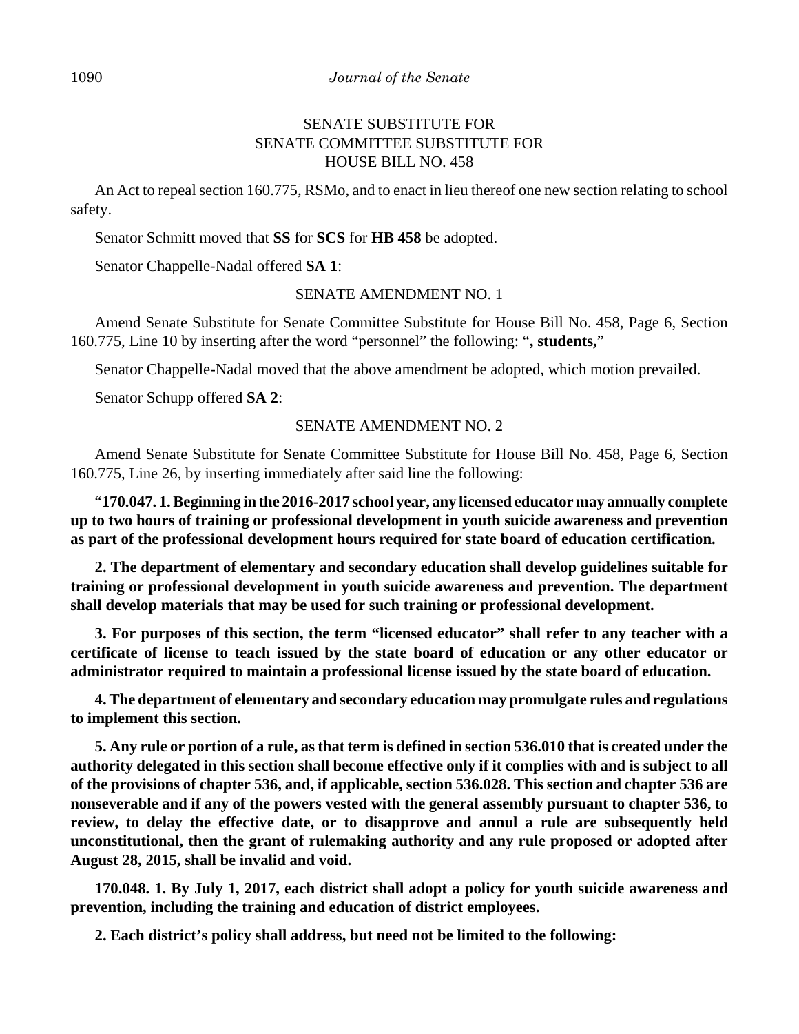#### 1090 *Journal of the Senate*

## SENATE SUBSTITUTE FOR SENATE COMMITTEE SUBSTITUTE FOR HOUSE BILL NO. 458

An Act to repeal section 160.775, RSMo, and to enact in lieu thereof one new section relating to school safety.

Senator Schmitt moved that **SS** for **SCS** for **HB 458** be adopted.

Senator Chappelle-Nadal offered **SA 1**:

## SENATE AMENDMENT NO. 1

Amend Senate Substitute for Senate Committee Substitute for House Bill No. 458, Page 6, Section 160.775, Line 10 by inserting after the word "personnel" the following: "**, students,**"

Senator Chappelle-Nadal moved that the above amendment be adopted, which motion prevailed.

Senator Schupp offered **SA 2**:

#### SENATE AMENDMENT NO. 2

Amend Senate Substitute for Senate Committee Substitute for House Bill No. 458, Page 6, Section 160.775, Line 26, by inserting immediately after said line the following:

"**170.047. 1. Beginning in the 2016-2017 school year, any licensed educator may annually complete up to two hours of training or professional development in youth suicide awareness and prevention as part of the professional development hours required for state board of education certification.**

**2. The department of elementary and secondary education shall develop guidelines suitable for training or professional development in youth suicide awareness and prevention. The department shall develop materials that may be used for such training or professional development.**

**3. For purposes of this section, the term "licensed educator" shall refer to any teacher with a certificate of license to teach issued by the state board of education or any other educator or administrator required to maintain a professional license issued by the state board of education.**

**4. The department of elementary and secondary education may promulgate rules and regulations to implement this section.**

**5. Any rule or portion of a rule, as that term is defined in section 536.010 that is created under the authority delegated in this section shall become effective only if it complies with and is subject to all of the provisions of chapter 536, and, if applicable, section 536.028. This section and chapter 536 are nonseverable and if any of the powers vested with the general assembly pursuant to chapter 536, to review, to delay the effective date, or to disapprove and annul a rule are subsequently held unconstitutional, then the grant of rulemaking authority and any rule proposed or adopted after August 28, 2015, shall be invalid and void.**

**170.048. 1. By July 1, 2017, each district shall adopt a policy for youth suicide awareness and prevention, including the training and education of district employees.**

**2. Each district's policy shall address, but need not be limited to the following:**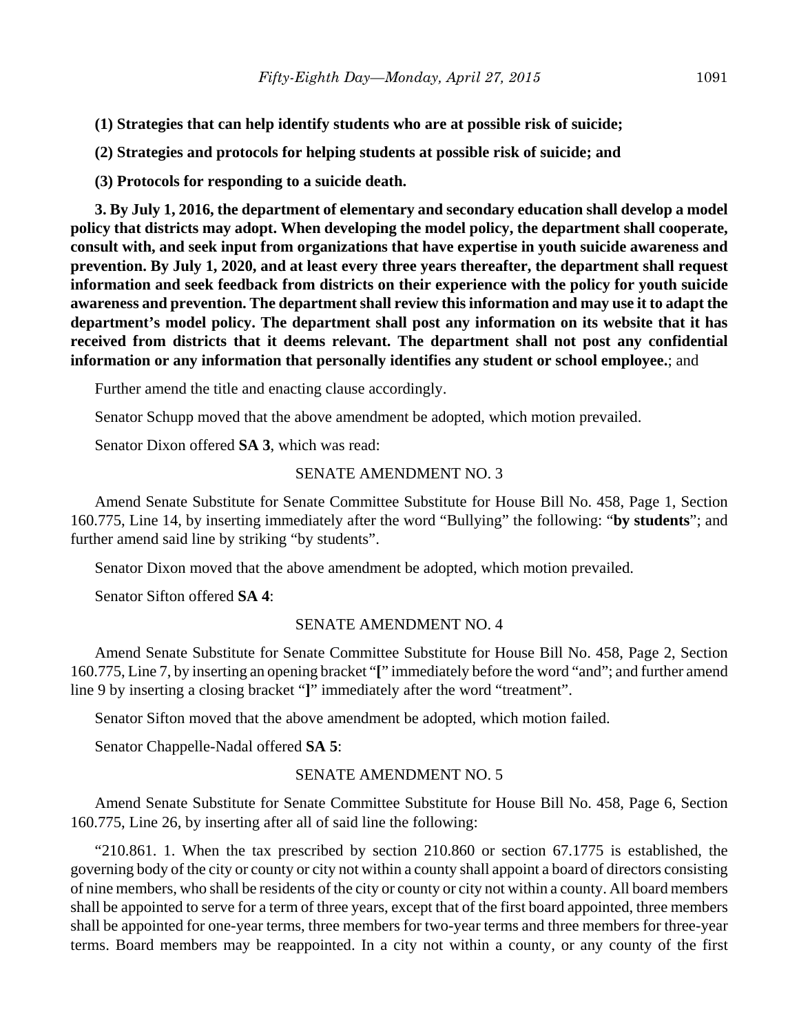- **(1) Strategies that can help identify students who are at possible risk of suicide;**
- **(2) Strategies and protocols for helping students at possible risk of suicide; and**

**(3) Protocols for responding to a suicide death.**

**3. By July 1, 2016, the department of elementary and secondary education shall develop a model policy that districts may adopt. When developing the model policy, the department shall cooperate, consult with, and seek input from organizations that have expertise in youth suicide awareness and prevention. By July 1, 2020, and at least every three years thereafter, the department shall request information and seek feedback from districts on their experience with the policy for youth suicide awareness and prevention. The department shall review this information and may use it to adapt the department's model policy. The department shall post any information on its website that it has received from districts that it deems relevant. The department shall not post any confidential information or any information that personally identifies any student or school employee.**; and

Further amend the title and enacting clause accordingly.

Senator Schupp moved that the above amendment be adopted, which motion prevailed.

Senator Dixon offered **SA 3**, which was read:

## SENATE AMENDMENT NO. 3

Amend Senate Substitute for Senate Committee Substitute for House Bill No. 458, Page 1, Section 160.775, Line 14, by inserting immediately after the word "Bullying" the following: "**by students**"; and further amend said line by striking "by students".

Senator Dixon moved that the above amendment be adopted, which motion prevailed.

Senator Sifton offered **SA 4**:

## SENATE AMENDMENT NO. 4

Amend Senate Substitute for Senate Committee Substitute for House Bill No. 458, Page 2, Section 160.775, Line 7, by inserting an opening bracket "**[**" immediately before the word "and"; and further amend line 9 by inserting a closing bracket "**]**" immediately after the word "treatment".

Senator Sifton moved that the above amendment be adopted, which motion failed.

Senator Chappelle-Nadal offered **SA 5**:

## SENATE AMENDMENT NO. 5

Amend Senate Substitute for Senate Committee Substitute for House Bill No. 458, Page 6, Section 160.775, Line 26, by inserting after all of said line the following:

"210.861. 1. When the tax prescribed by section 210.860 or section 67.1775 is established, the governing body of the city or county or city not within a county shall appoint a board of directors consisting of nine members, who shall be residents of the city or county or city not within a county. All board members shall be appointed to serve for a term of three years, except that of the first board appointed, three members shall be appointed for one-year terms, three members for two-year terms and three members for three-year terms. Board members may be reappointed. In a city not within a county, or any county of the first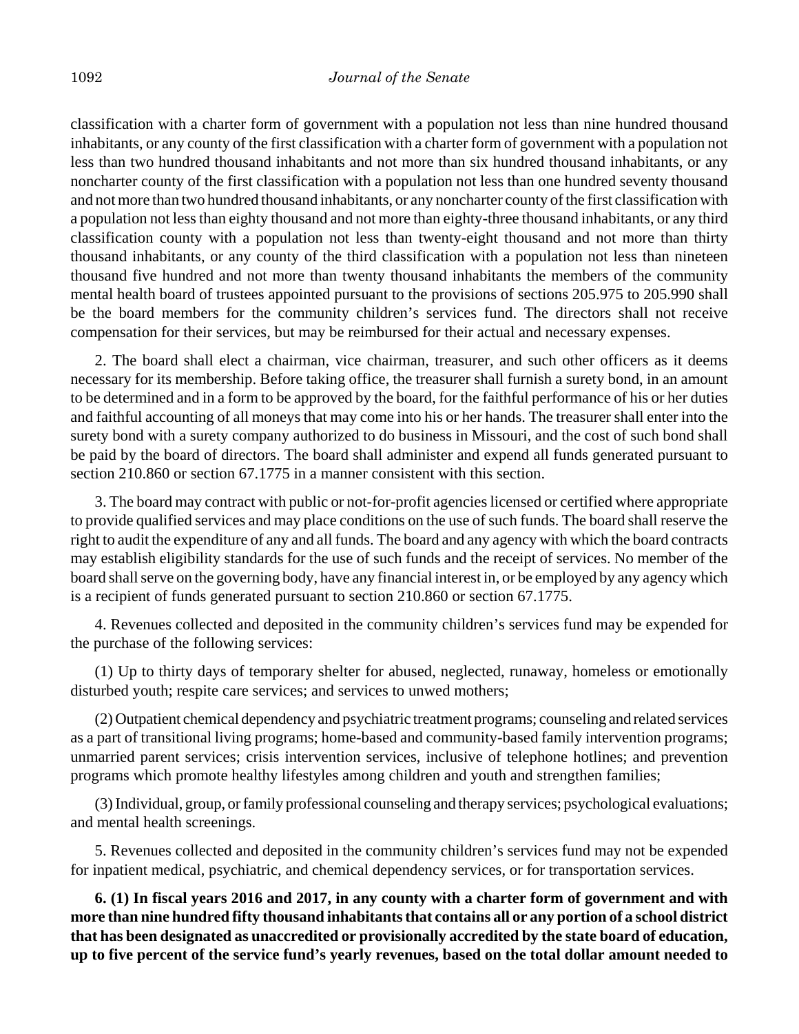classification with a charter form of government with a population not less than nine hundred thousand inhabitants, or any county of the first classification with a charter form of government with a population not less than two hundred thousand inhabitants and not more than six hundred thousand inhabitants, or any noncharter county of the first classification with a population not less than one hundred seventy thousand and not more than two hundred thousand inhabitants, or any noncharter county of the first classification with a population not less than eighty thousand and not more than eighty-three thousand inhabitants, or any third classification county with a population not less than twenty-eight thousand and not more than thirty thousand inhabitants, or any county of the third classification with a population not less than nineteen thousand five hundred and not more than twenty thousand inhabitants the members of the community mental health board of trustees appointed pursuant to the provisions of sections 205.975 to 205.990 shall be the board members for the community children's services fund. The directors shall not receive compensation for their services, but may be reimbursed for their actual and necessary expenses.

2. The board shall elect a chairman, vice chairman, treasurer, and such other officers as it deems necessary for its membership. Before taking office, the treasurer shall furnish a surety bond, in an amount to be determined and in a form to be approved by the board, for the faithful performance of his or her duties and faithful accounting of all moneys that may come into his or her hands. The treasurer shall enter into the surety bond with a surety company authorized to do business in Missouri, and the cost of such bond shall be paid by the board of directors. The board shall administer and expend all funds generated pursuant to section 210.860 or section 67.1775 in a manner consistent with this section.

3. The board may contract with public or not-for-profit agencies licensed or certified where appropriate to provide qualified services and may place conditions on the use of such funds. The board shall reserve the right to audit the expenditure of any and all funds. The board and any agency with which the board contracts may establish eligibility standards for the use of such funds and the receipt of services. No member of the board shall serve on the governing body, have any financial interest in, or be employed by any agency which is a recipient of funds generated pursuant to section 210.860 or section 67.1775.

4. Revenues collected and deposited in the community children's services fund may be expended for the purchase of the following services:

(1) Up to thirty days of temporary shelter for abused, neglected, runaway, homeless or emotionally disturbed youth; respite care services; and services to unwed mothers;

(2) Outpatient chemical dependency and psychiatric treatment programs; counseling and related services as a part of transitional living programs; home-based and community-based family intervention programs; unmarried parent services; crisis intervention services, inclusive of telephone hotlines; and prevention programs which promote healthy lifestyles among children and youth and strengthen families;

(3) Individual, group, or family professional counseling and therapy services; psychological evaluations; and mental health screenings.

5. Revenues collected and deposited in the community children's services fund may not be expended for inpatient medical, psychiatric, and chemical dependency services, or for transportation services.

**6. (1) In fiscal years 2016 and 2017, in any county with a charter form of government and with more than nine hundred fifty thousand inhabitants that contains all or any portion of a school district that has been designated as unaccredited or provisionally accredited by the state board of education, up to five percent of the service fund's yearly revenues, based on the total dollar amount needed to**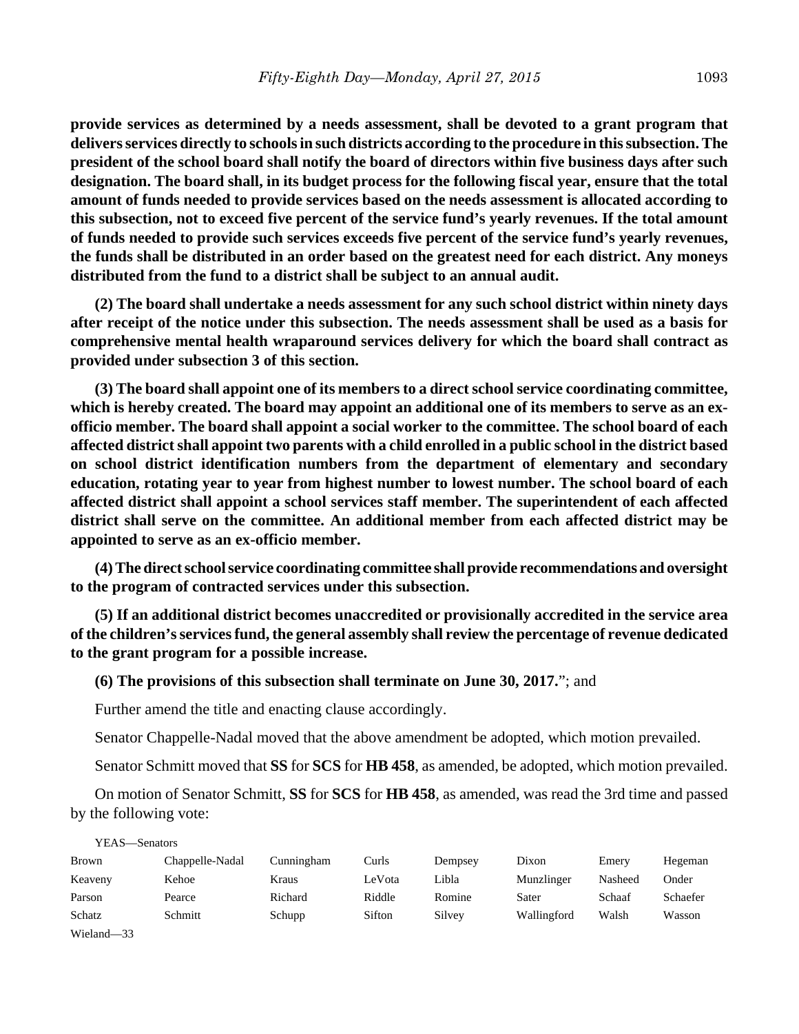**provide services as determined by a needs assessment, shall be devoted to a grant program that delivers services directly to schools in such districts according to the procedure in this subsection. The president of the school board shall notify the board of directors within five business days after such designation. The board shall, in its budget process for the following fiscal year, ensure that the total amount of funds needed to provide services based on the needs assessment is allocated according to this subsection, not to exceed five percent of the service fund's yearly revenues. If the total amount of funds needed to provide such services exceeds five percent of the service fund's yearly revenues, the funds shall be distributed in an order based on the greatest need for each district. Any moneys distributed from the fund to a district shall be subject to an annual audit.**

**(2) The board shall undertake a needs assessment for any such school district within ninety days after receipt of the notice under this subsection. The needs assessment shall be used as a basis for comprehensive mental health wraparound services delivery for which the board shall contract as provided under subsection 3 of this section.**

**(3) The board shall appoint one of its members to a direct school service coordinating committee, which is hereby created. The board may appoint an additional one of its members to serve as an exofficio member. The board shall appoint a social worker to the committee. The school board of each affected district shall appoint two parents with a child enrolled in a public school in the district based on school district identification numbers from the department of elementary and secondary education, rotating year to year from highest number to lowest number. The school board of each affected district shall appoint a school services staff member. The superintendent of each affected district shall serve on the committee. An additional member from each affected district may be appointed to serve as an ex-officio member.**

**(4) The direct school service coordinating committee shall provide recommendations and oversight to the program of contracted services under this subsection.**

**(5) If an additional district becomes unaccredited or provisionally accredited in the service area of the children's services fund, the general assembly shall review the percentage of revenue dedicated to the grant program for a possible increase.**

#### **(6) The provisions of this subsection shall terminate on June 30, 2017.**"; and

Further amend the title and enacting clause accordingly.

 $\overline{y}$ 

Senator Chappelle-Nadal moved that the above amendment be adopted, which motion prevailed.

Senator Schmitt moved that **SS** for **SCS** for **HB 458**, as amended, be adopted, which motion prevailed.

On motion of Senator Schmitt, **SS** for **SCS** for **HB 458**, as amended, was read the 3rd time and passed by the following vote:

| YEAS—Senators |                 |            |        |         |             |         |          |
|---------------|-----------------|------------|--------|---------|-------------|---------|----------|
| <b>Brown</b>  | Chappelle-Nadal | Cunningham | Curls  | Dempsey | Dixon       | Emery   | Hegeman  |
| Keaveny       | Kehoe           | Kraus      | LeVota | Libla   | Munzlinger  | Nasheed | Onder    |
| Parson        | Pearce          | Richard    | Riddle | Romine  | Sater       | Schaaf  | Schaefer |
| Schatz        | Schmitt         | Schupp     | Sifton | Silvey  | Wallingford | Walsh   | Wasson   |
| Wieland-33    |                 |            |        |         |             |         |          |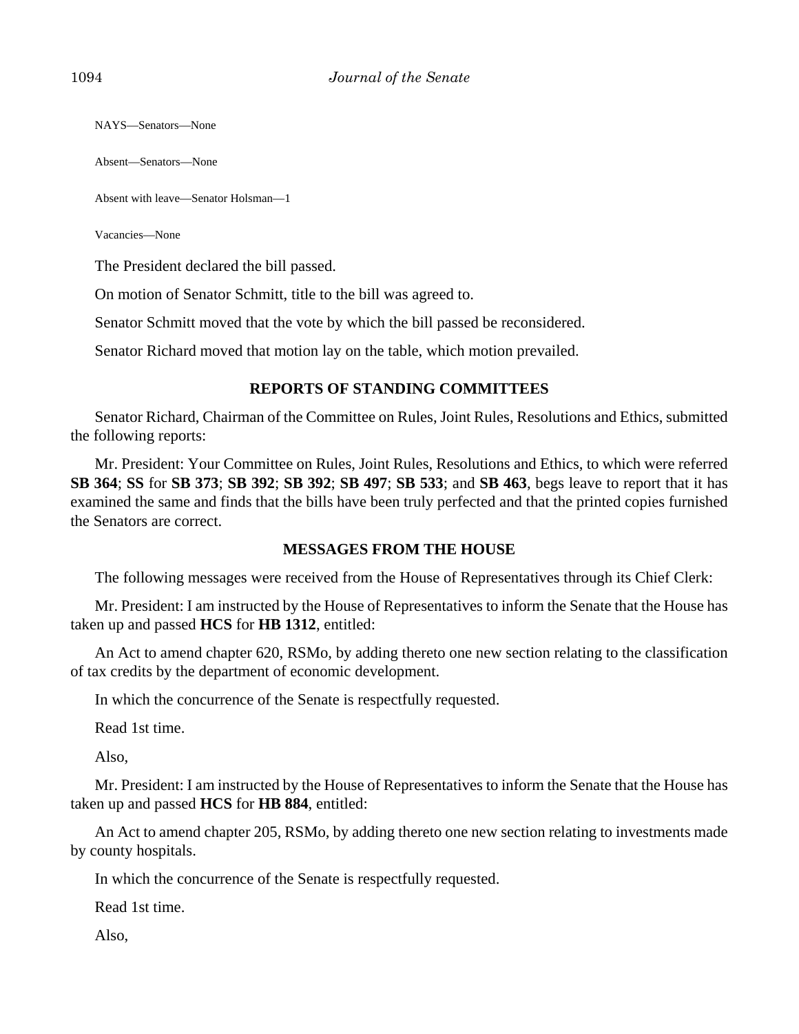NAYS—Senators—None

Absent—Senators—None

Absent with leave—Senator Holsman—1

Vacancies—None

The President declared the bill passed.

On motion of Senator Schmitt, title to the bill was agreed to.

Senator Schmitt moved that the vote by which the bill passed be reconsidered.

Senator Richard moved that motion lay on the table, which motion prevailed.

## **REPORTS OF STANDING COMMITTEES**

Senator Richard, Chairman of the Committee on Rules, Joint Rules, Resolutions and Ethics, submitted the following reports:

Mr. President: Your Committee on Rules, Joint Rules, Resolutions and Ethics, to which were referred **SB 364**; **SS** for **SB 373**; **SB 392**; **SB 392**; **SB 497**; **SB 533**; and **SB 463**, begs leave to report that it has examined the same and finds that the bills have been truly perfected and that the printed copies furnished the Senators are correct.

## **MESSAGES FROM THE HOUSE**

The following messages were received from the House of Representatives through its Chief Clerk:

Mr. President: I am instructed by the House of Representatives to inform the Senate that the House has taken up and passed **HCS** for **HB 1312**, entitled:

An Act to amend chapter 620, RSMo, by adding thereto one new section relating to the classification of tax credits by the department of economic development.

In which the concurrence of the Senate is respectfully requested.

Read 1st time.

Also,

Mr. President: I am instructed by the House of Representatives to inform the Senate that the House has taken up and passed **HCS** for **HB 884**, entitled:

An Act to amend chapter 205, RSMo, by adding thereto one new section relating to investments made by county hospitals.

In which the concurrence of the Senate is respectfully requested.

Read 1st time.

Also,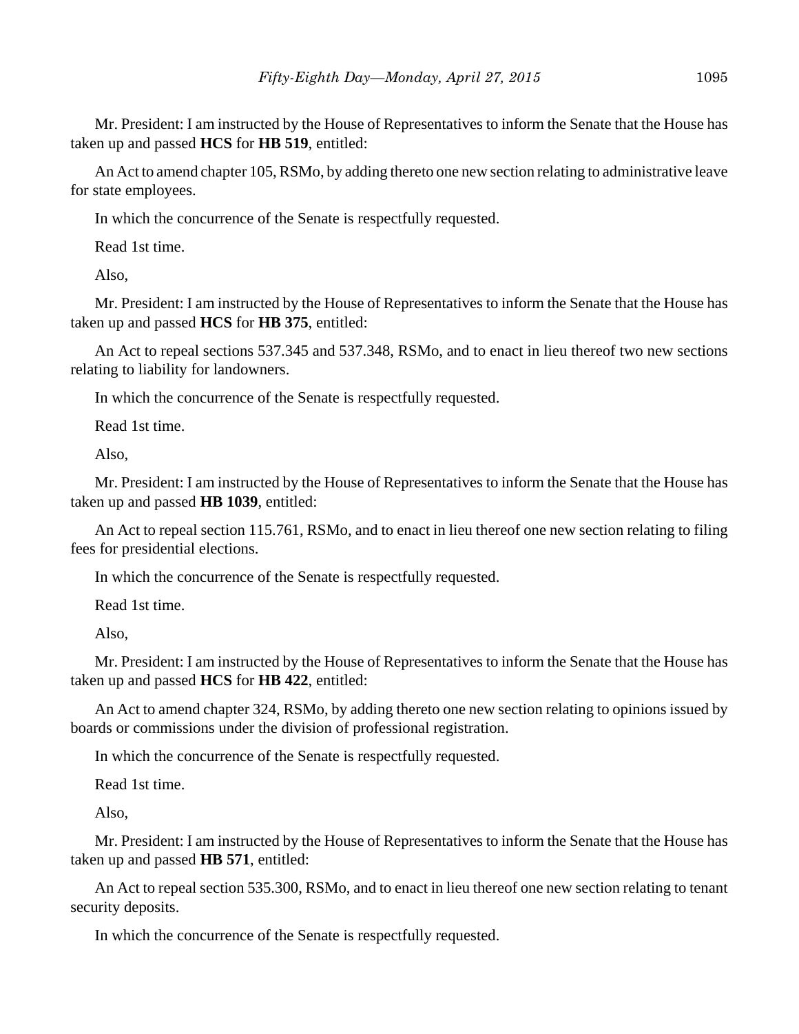Mr. President: I am instructed by the House of Representatives to inform the Senate that the House has taken up and passed **HCS** for **HB 519**, entitled:

An Act to amend chapter 105, RSMo, by adding thereto one new section relating to administrative leave for state employees.

In which the concurrence of the Senate is respectfully requested.

Read 1st time.

Also,

Mr. President: I am instructed by the House of Representatives to inform the Senate that the House has taken up and passed **HCS** for **HB 375**, entitled:

An Act to repeal sections 537.345 and 537.348, RSMo, and to enact in lieu thereof two new sections relating to liability for landowners.

In which the concurrence of the Senate is respectfully requested.

Read 1st time.

Also,

Mr. President: I am instructed by the House of Representatives to inform the Senate that the House has taken up and passed **HB 1039**, entitled:

An Act to repeal section 115.761, RSMo, and to enact in lieu thereof one new section relating to filing fees for presidential elections.

In which the concurrence of the Senate is respectfully requested.

Read 1st time.

Also,

Mr. President: I am instructed by the House of Representatives to inform the Senate that the House has taken up and passed **HCS** for **HB 422**, entitled:

An Act to amend chapter 324, RSMo, by adding thereto one new section relating to opinions issued by boards or commissions under the division of professional registration.

In which the concurrence of the Senate is respectfully requested.

Read 1st time.

Also,

Mr. President: I am instructed by the House of Representatives to inform the Senate that the House has taken up and passed **HB 571**, entitled:

An Act to repeal section 535.300, RSMo, and to enact in lieu thereof one new section relating to tenant security deposits.

In which the concurrence of the Senate is respectfully requested.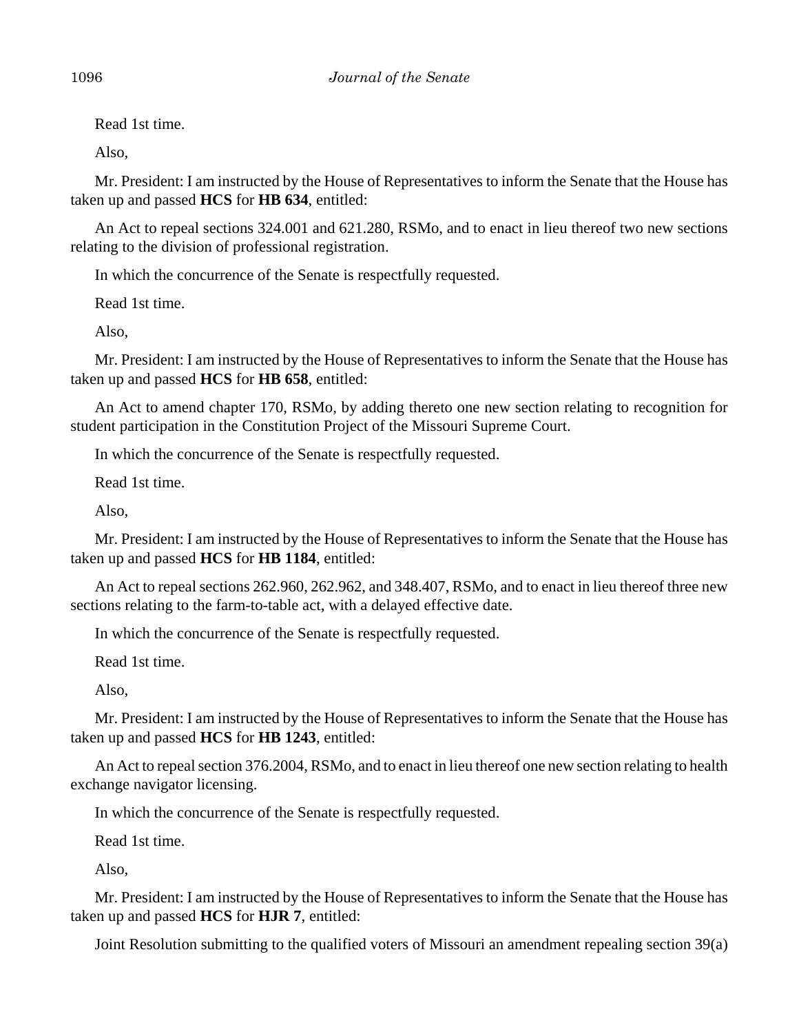Read 1st time.

Also,

Mr. President: I am instructed by the House of Representatives to inform the Senate that the House has taken up and passed **HCS** for **HB 634**, entitled:

An Act to repeal sections 324.001 and 621.280, RSMo, and to enact in lieu thereof two new sections relating to the division of professional registration.

In which the concurrence of the Senate is respectfully requested.

Read 1st time.

Also,

Mr. President: I am instructed by the House of Representatives to inform the Senate that the House has taken up and passed **HCS** for **HB 658**, entitled:

An Act to amend chapter 170, RSMo, by adding thereto one new section relating to recognition for student participation in the Constitution Project of the Missouri Supreme Court.

In which the concurrence of the Senate is respectfully requested.

Read 1st time.

Also,

Mr. President: I am instructed by the House of Representatives to inform the Senate that the House has taken up and passed **HCS** for **HB 1184**, entitled:

An Act to repeal sections 262.960, 262.962, and 348.407, RSMo, and to enact in lieu thereof three new sections relating to the farm-to-table act, with a delayed effective date.

In which the concurrence of the Senate is respectfully requested.

Read 1st time.

Also,

Mr. President: I am instructed by the House of Representatives to inform the Senate that the House has taken up and passed **HCS** for **HB 1243**, entitled:

An Act to repeal section 376.2004, RSMo, and to enact in lieu thereof one new section relating to health exchange navigator licensing.

In which the concurrence of the Senate is respectfully requested.

Read 1st time.

Also,

Mr. President: I am instructed by the House of Representatives to inform the Senate that the House has taken up and passed **HCS** for **HJR 7**, entitled:

Joint Resolution submitting to the qualified voters of Missouri an amendment repealing section 39(a)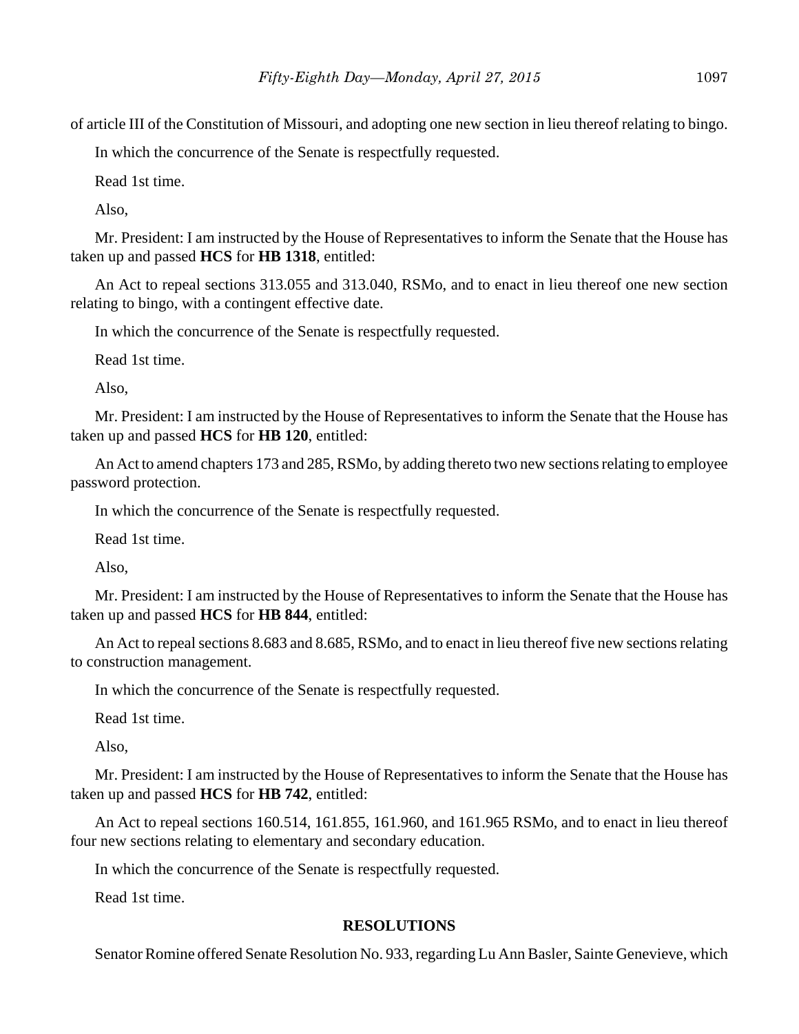of article III of the Constitution of Missouri, and adopting one new section in lieu thereof relating to bingo.

In which the concurrence of the Senate is respectfully requested.

Read 1st time.

Also,

Mr. President: I am instructed by the House of Representatives to inform the Senate that the House has taken up and passed **HCS** for **HB 1318**, entitled:

An Act to repeal sections 313.055 and 313.040, RSMo, and to enact in lieu thereof one new section relating to bingo, with a contingent effective date.

In which the concurrence of the Senate is respectfully requested.

Read 1st time.

Also,

Mr. President: I am instructed by the House of Representatives to inform the Senate that the House has taken up and passed **HCS** for **HB 120**, entitled:

An Act to amend chapters 173 and 285, RSMo, by adding thereto two new sections relating to employee password protection.

In which the concurrence of the Senate is respectfully requested.

Read 1st time.

Also,

Mr. President: I am instructed by the House of Representatives to inform the Senate that the House has taken up and passed **HCS** for **HB 844**, entitled:

An Act to repeal sections 8.683 and 8.685, RSMo, and to enact in lieu thereof five new sections relating to construction management.

In which the concurrence of the Senate is respectfully requested.

Read 1st time.

Also,

Mr. President: I am instructed by the House of Representatives to inform the Senate that the House has taken up and passed **HCS** for **HB 742**, entitled:

An Act to repeal sections 160.514, 161.855, 161.960, and 161.965 RSMo, and to enact in lieu thereof four new sections relating to elementary and secondary education.

In which the concurrence of the Senate is respectfully requested.

Read 1st time.

## **RESOLUTIONS**

Senator Romine offered Senate Resolution No. 933, regarding Lu Ann Basler, Sainte Genevieve, which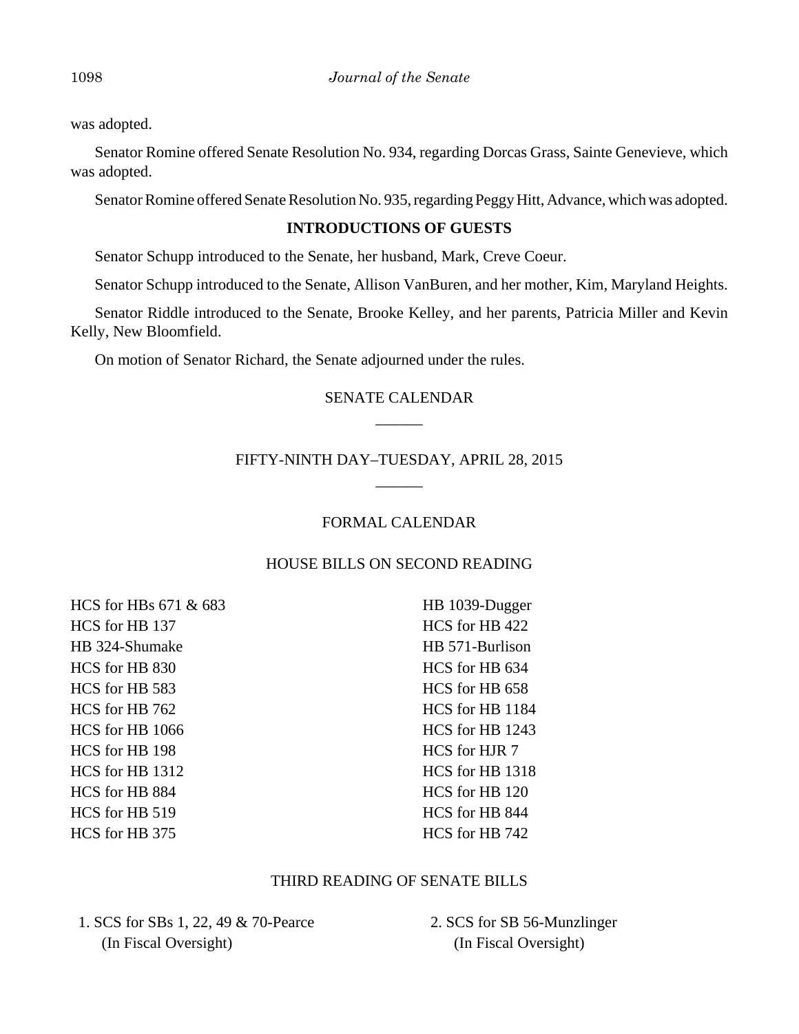was adopted.

Senator Romine offered Senate Resolution No. 934, regarding Dorcas Grass, Sainte Genevieve, which was adopted.

Senator Romine offered Senate Resolution No. 935, regarding Peggy Hitt, Advance, which was adopted.

## **INTRODUCTIONS OF GUESTS**

Senator Schupp introduced to the Senate, her husband, Mark, Creve Coeur.

Senator Schupp introduced to the Senate, Allison VanBuren, and her mother, Kim, Maryland Heights.

Senator Riddle introduced to the Senate, Brooke Kelley, and her parents, Patricia Miller and Kevin Kelly, New Bloomfield.

On motion of Senator Richard, the Senate adjourned under the rules.

# SENATE CALENDAR  $\overline{\phantom{a}}$

# FIFTY-NINTH DAY–TUESDAY, APRIL 28, 2015  $\overline{\phantom{a}}$

## FORMAL CALENDAR

## HOUSE BILLS ON SECOND READING

HCS for HBs 671 & 683 HCS for HB 137 HB 324-Shumake HCS for HB 830 HCS for HB 583 HCS for HB 762 HCS for HB 1066 HCS for HB 198 HCS for HB 1312 HCS for HB 884 HCS for HB 519 HCS for HB 375

HB 1039-Dugger HCS for HB 422 HB 571-Burlison HCS for HB 634 HCS for HB 658 HCS for HB 1184 HCS for HB 1243 HCS for HJR 7 HCS for HB 1318 HCS for HB 120 HCS for HB 844 HCS for HB 742

## THIRD READING OF SENATE BILLS

 1. SCS for SBs 1, 22, 49 & 70-Pearce (In Fiscal Oversight)

 2. SCS for SB 56-Munzlinger (In Fiscal Oversight)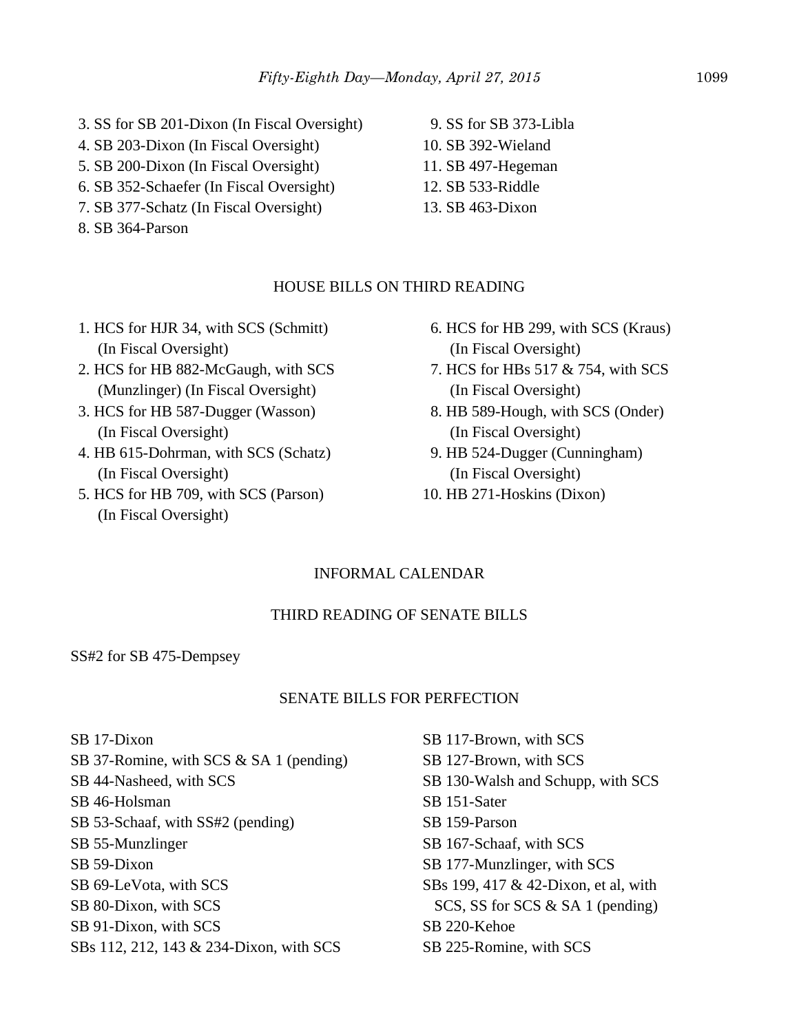- 3. SS for SB 201-Dixon (In Fiscal Oversight)
- 4. SB 203-Dixon (In Fiscal Oversight)
- 5. SB 200-Dixon (In Fiscal Oversight)
- 6. SB 352-Schaefer (In Fiscal Oversight)
- 7. SB 377-Schatz (In Fiscal Oversight)
- 8. SB 364-Parson
- 9. SS for SB 373-Libla
- 10. SB 392-Wieland
- 11. SB 497-Hegeman
- 12. SB 533-Riddle
- 13. SB 463-Dixon

# HOUSE BILLS ON THIRD READING

- 1. HCS for HJR 34, with SCS (Schmitt) (In Fiscal Oversight)
- 2. HCS for HB 882-McGaugh, with SCS (Munzlinger) (In Fiscal Oversight)
- 3. HCS for HB 587-Dugger (Wasson) (In Fiscal Oversight)
- 4. HB 615-Dohrman, with SCS (Schatz) (In Fiscal Oversight)
- 5. HCS for HB 709, with SCS (Parson) (In Fiscal Oversight)
- 6. HCS for HB 299, with SCS (Kraus) (In Fiscal Oversight)
- 7. HCS for HBs 517 & 754, with SCS (In Fiscal Oversight)
- 8. HB 589-Hough, with SCS (Onder) (In Fiscal Oversight)
- 9. HB 524-Dugger (Cunningham) (In Fiscal Oversight)
- 10. HB 271-Hoskins (Dixon)

# INFORMAL CALENDAR

# THIRD READING OF SENATE BILLS

SS#2 for SB 475-Dempsey

# SENATE BILLS FOR PERFECTION

SB 17-Dixon SB 37-Romine, with SCS & SA 1 (pending) SB 44-Nasheed, with SCS SB 46-Holsman SB 53-Schaaf, with SS#2 (pending) SB 55-Munzlinger SB 59-Dixon SB 69-LeVota, with SCS SB 80-Dixon, with SCS SB 91-Dixon, with SCS SBs 112, 212, 143 & 234-Dixon, with SCS SB 117-Brown, with SCS SB 127-Brown, with SCS SB 130-Walsh and Schupp, with SCS SB 151-Sater SB 159-Parson SB 167-Schaaf, with SCS SB 177-Munzlinger, with SCS SBs 199, 417 & 42-Dixon, et al, with SCS, SS for SCS & SA 1 (pending) SB 220-Kehoe SB 225-Romine, with SCS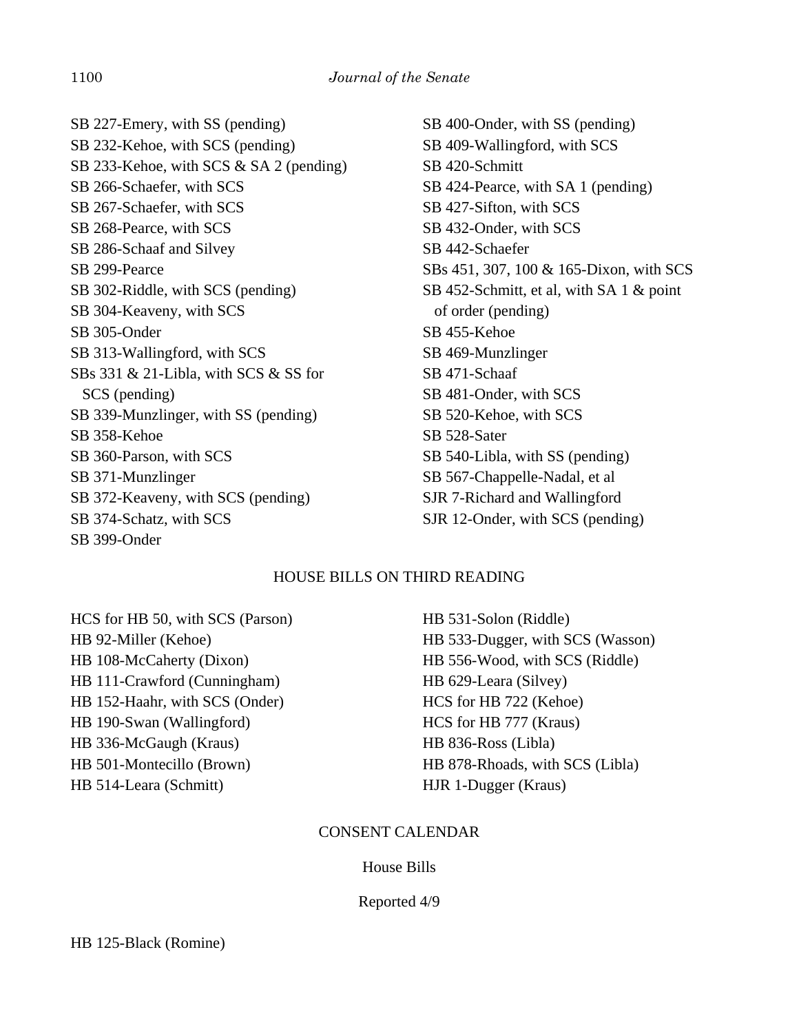SB 227-Emery, with SS (pending) SB 232-Kehoe, with SCS (pending) SB 233-Kehoe, with SCS & SA 2 (pending) SB 266-Schaefer, with SCS SB 267-Schaefer, with SCS SB 268-Pearce, with SCS SB 286-Schaaf and Silvey SB 299-Pearce SB 302-Riddle, with SCS (pending) SB 304-Keaveny, with SCS SB 305-Onder SB 313-Wallingford, with SCS SBs 331 & 21-Libla, with SCS & SS for SCS (pending) SB 339-Munzlinger, with SS (pending) SB 358-Kehoe SB 360-Parson, with SCS SB 371-Munzlinger SB 372-Keaveny, with SCS (pending) SB 374-Schatz, with SCS SB 399-Onder

SB 400-Onder, with SS (pending) SB 409-Wallingford, with SCS SB 420-Schmitt SB 424-Pearce, with SA 1 (pending) SB 427-Sifton, with SCS SB 432-Onder, with SCS SB 442-Schaefer SBs 451, 307, 100 & 165-Dixon, with SCS SB 452-Schmitt, et al, with SA 1 & point of order (pending) SB 455-Kehoe SB 469-Munzlinger SB 471-Schaaf SB 481-Onder, with SCS SB 520-Kehoe, with SCS SB 528-Sater SB 540-Libla, with SS (pending) SB 567-Chappelle-Nadal, et al SJR 7-Richard and Wallingford SJR 12-Onder, with SCS (pending)

## HOUSE BILLS ON THIRD READING

HCS for HB 50, with SCS (Parson) HB 92-Miller (Kehoe) HB 108-McCaherty (Dixon) HB 111-Crawford (Cunningham) HB 152-Haahr, with SCS (Onder) HB 190-Swan (Wallingford) HB 336-McGaugh (Kraus) HB 501-Montecillo (Brown) HB 514-Leara (Schmitt)

HB 531-Solon (Riddle) HB 533-Dugger, with SCS (Wasson) HB 556-Wood, with SCS (Riddle) HB 629-Leara (Silvey) HCS for HB 722 (Kehoe) HCS for HB 777 (Kraus) HB 836-Ross (Libla) HB 878-Rhoads, with SCS (Libla) HJR 1-Dugger (Kraus)

## CONSENT CALENDAR

## House Bills

## Reported 4/9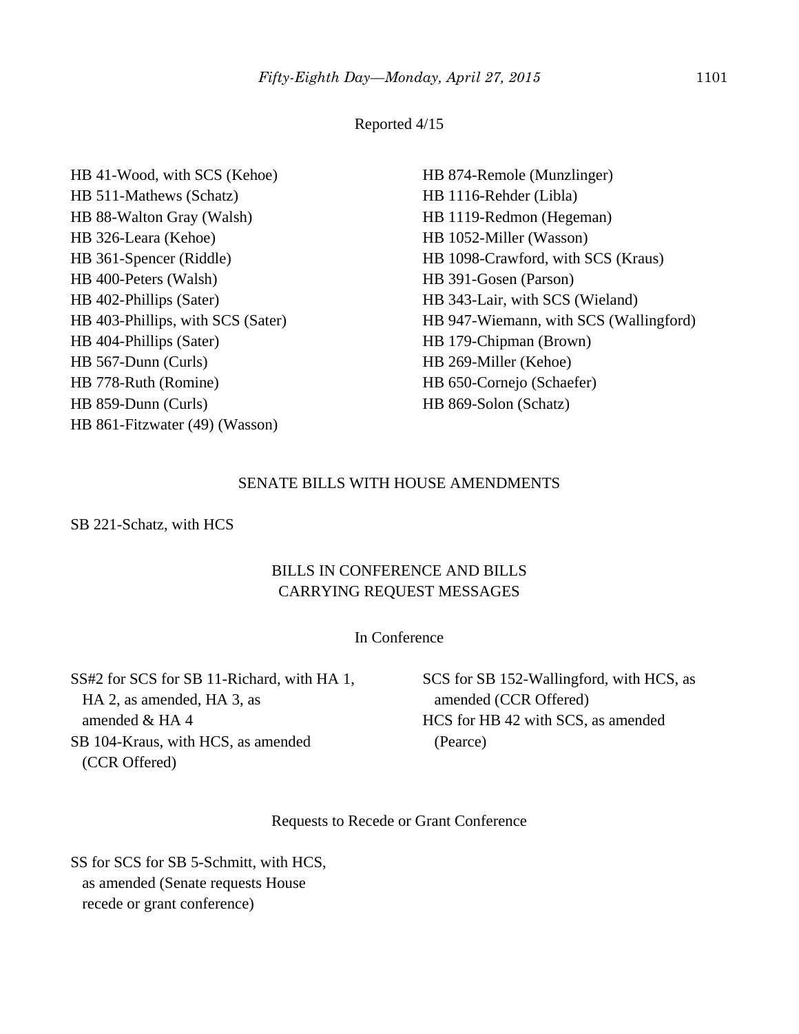#### Reported 4/15

HB 41-Wood, with SCS (Kehoe) HB 511-Mathews (Schatz) HB 88-Walton Gray (Walsh) HB 326-Leara (Kehoe) HB 361-Spencer (Riddle) HB 400-Peters (Walsh) HB 402-Phillips (Sater) HB 403-Phillips, with SCS (Sater) HB 404-Phillips (Sater) HB 567-Dunn (Curls) HB 778-Ruth (Romine) HB 859-Dunn (Curls) HB 861-Fitzwater (49) (Wasson)

HB 874-Remole (Munzlinger) HB 1116-Rehder (Libla) HB 1119-Redmon (Hegeman) HB 1052-Miller (Wasson) HB 1098-Crawford, with SCS (Kraus) HB 391-Gosen (Parson) HB 343-Lair, with SCS (Wieland) HB 947-Wiemann, with SCS (Wallingford) HB 179-Chipman (Brown) HB 269-Miller (Kehoe) HB 650-Cornejo (Schaefer) HB 869-Solon (Schatz)

## SENATE BILLS WITH HOUSE AMENDMENTS

SB 221-Schatz, with HCS

## BILLS IN CONFERENCE AND BILLS CARRYING REQUEST MESSAGES

## In Conference

SS#2 for SCS for SB 11-Richard, with HA 1, HA 2, as amended, HA 3, as amended & HA 4 SB 104-Kraus, with HCS, as amended (CCR Offered)

SCS for SB 152-Wallingford, with HCS, as amended (CCR Offered) HCS for HB 42 with SCS, as amended (Pearce)

Requests to Recede or Grant Conference

SS for SCS for SB 5-Schmitt, with HCS, as amended (Senate requests House recede or grant conference)